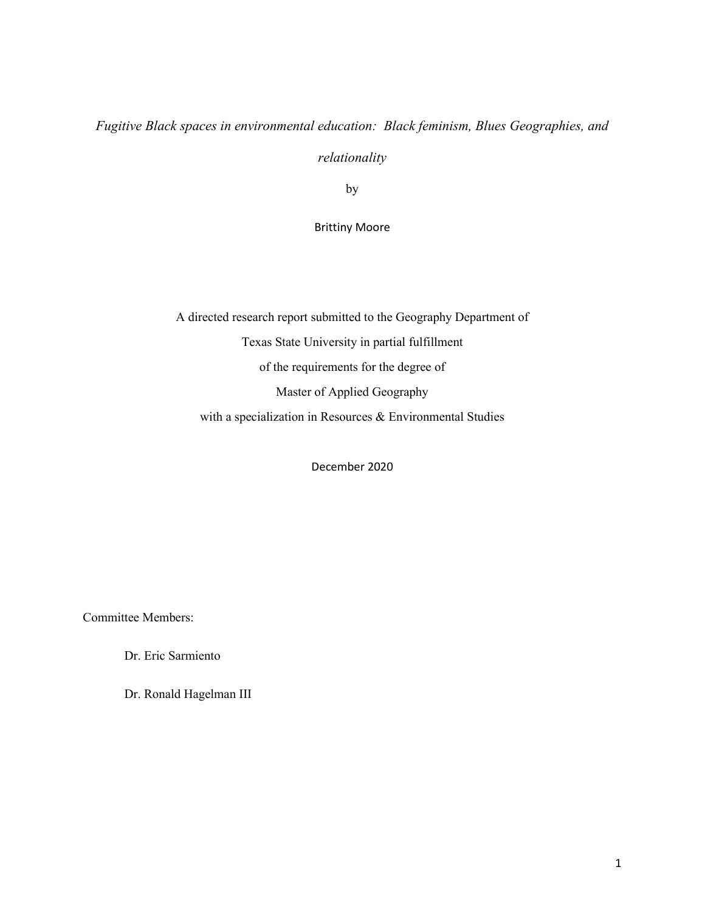# *Fugitive Black spaces in environmental education: Black feminism, Blues Geographies, and*

*relationality*

by

Brittiny Moore

A directed research report submitted to the Geography Department of Texas State University in partial fulfillment of the requirements for the degree of Master of Applied Geography with a specialization in Resources & Environmental Studies

December 2020

Committee Members:

Dr. Eric Sarmiento

Dr. Ronald Hagelman III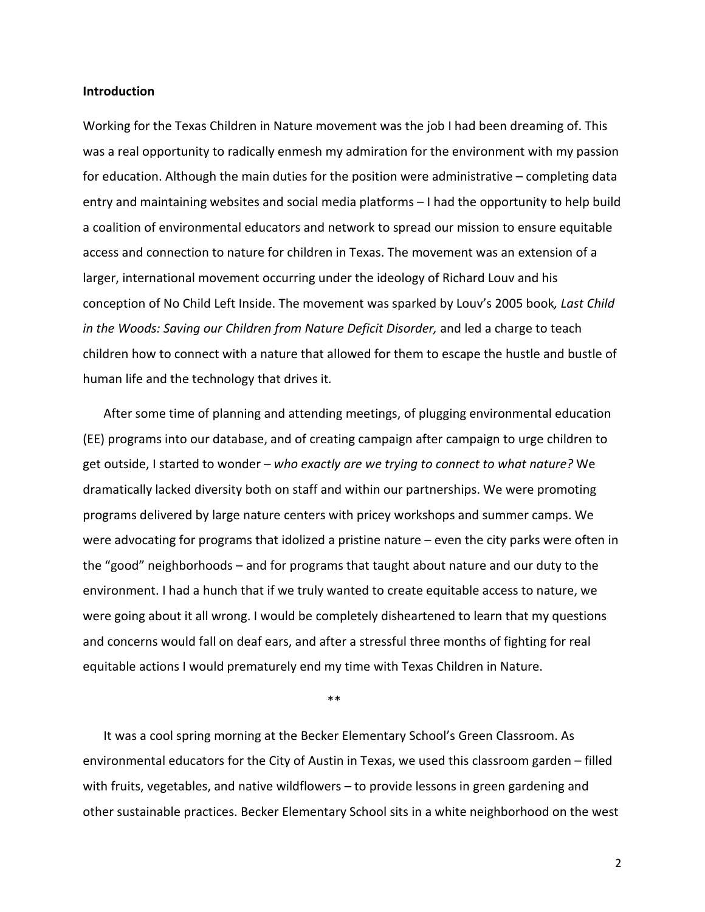#### **Introduction**

Working for the Texas Children in Nature movement was the job I had been dreaming of. This was a real opportunity to radically enmesh my admiration for the environment with my passion for education. Although the main duties for the position were administrative – completing data entry and maintaining websites and social media platforms – I had the opportunity to help build a coalition of environmental educators and network to spread our mission to ensure equitable access and connection to nature for children in Texas. The movement was an extension of a larger, international movement occurring under the ideology of Richard Louv and his conception of No Child Left Inside. The movement was sparked by Louv's 2005 book*, Last Child in the Woods: Saving our Children from Nature Deficit Disorder,* and led a charge to teach children how to connect with a nature that allowed for them to escape the hustle and bustle of human life and the technology that drives it*.* 

After some time of planning and attending meetings, of plugging environmental education (EE) programs into our database, and of creating campaign after campaign to urge children to get outside, I started to wonder – *who exactly are we trying to connect to what nature?* We dramatically lacked diversity both on staff and within our partnerships. We were promoting programs delivered by large nature centers with pricey workshops and summer camps. We were advocating for programs that idolized a pristine nature – even the city parks were often in the "good" neighborhoods – and for programs that taught about nature and our duty to the environment. I had a hunch that if we truly wanted to create equitable access to nature, we were going about it all wrong. I would be completely disheartened to learn that my questions and concerns would fall on deaf ears, and after a stressful three months of fighting for real equitable actions I would prematurely end my time with Texas Children in Nature.

\*\*

It was a cool spring morning at the Becker Elementary School's Green Classroom. As environmental educators for the City of Austin in Texas, we used this classroom garden – filled with fruits, vegetables, and native wildflowers – to provide lessons in green gardening and other sustainable practices. Becker Elementary School sits in a white neighborhood on the west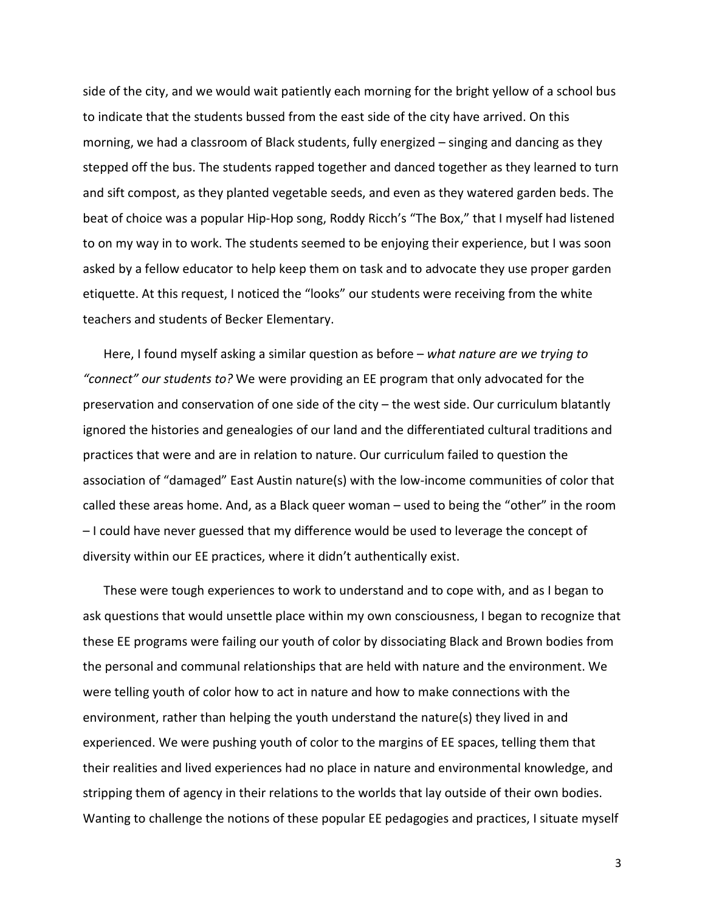side of the city, and we would wait patiently each morning for the bright yellow of a school bus to indicate that the students bussed from the east side of the city have arrived. On this morning, we had a classroom of Black students, fully energized – singing and dancing as they stepped off the bus. The students rapped together and danced together as they learned to turn and sift compost, as they planted vegetable seeds, and even as they watered garden beds. The beat of choice was a popular Hip-Hop song, Roddy Ricch's "The Box," that I myself had listened to on my way in to work. The students seemed to be enjoying their experience, but I was soon asked by a fellow educator to help keep them on task and to advocate they use proper garden etiquette. At this request, I noticed the "looks" our students were receiving from the white teachers and students of Becker Elementary.

Here, I found myself asking a similar question as before – *what nature are we trying to "connect" our students to?* We were providing an EE program that only advocated for the preservation and conservation of one side of the city – the west side. Our curriculum blatantly ignored the histories and genealogies of our land and the differentiated cultural traditions and practices that were and are in relation to nature. Our curriculum failed to question the association of "damaged" East Austin nature(s) with the low-income communities of color that called these areas home. And, as a Black queer woman – used to being the "other" in the room – I could have never guessed that my difference would be used to leverage the concept of diversity within our EE practices, where it didn't authentically exist.

These were tough experiences to work to understand and to cope with, and as I began to ask questions that would unsettle place within my own consciousness, I began to recognize that these EE programs were failing our youth of color by dissociating Black and Brown bodies from the personal and communal relationships that are held with nature and the environment. We were telling youth of color how to act in nature and how to make connections with the environment, rather than helping the youth understand the nature(s) they lived in and experienced. We were pushing youth of color to the margins of EE spaces, telling them that their realities and lived experiences had no place in nature and environmental knowledge, and stripping them of agency in their relations to the worlds that lay outside of their own bodies. Wanting to challenge the notions of these popular EE pedagogies and practices, I situate myself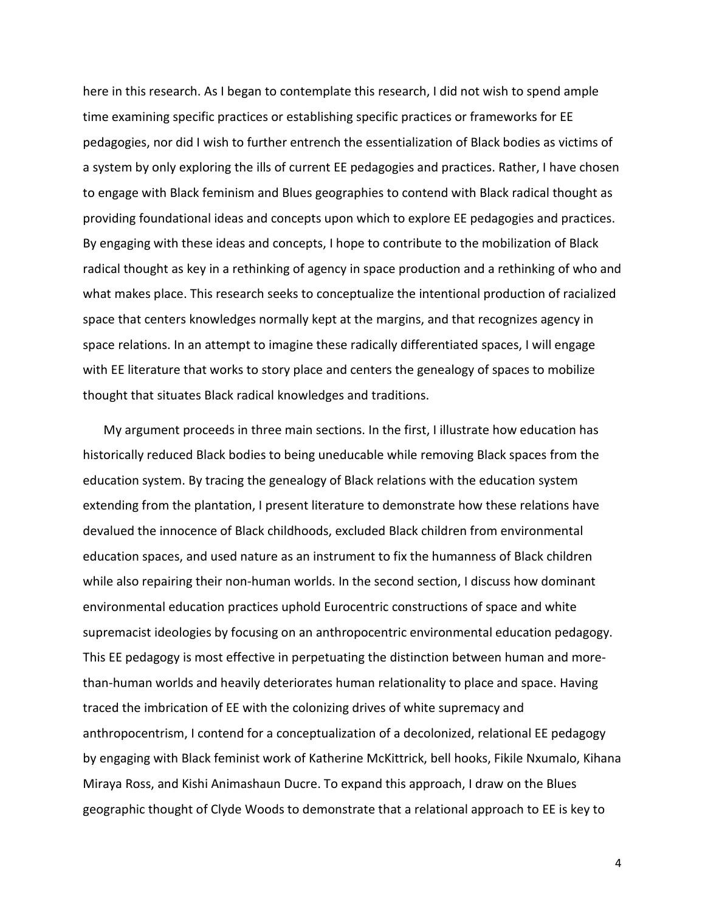here in this research. As I began to contemplate this research, I did not wish to spend ample time examining specific practices or establishing specific practices or frameworks for EE pedagogies, nor did I wish to further entrench the essentialization of Black bodies as victims of a system by only exploring the ills of current EE pedagogies and practices. Rather, I have chosen to engage with Black feminism and Blues geographies to contend with Black radical thought as providing foundational ideas and concepts upon which to explore EE pedagogies and practices. By engaging with these ideas and concepts, I hope to contribute to the mobilization of Black radical thought as key in a rethinking of agency in space production and a rethinking of who and what makes place. This research seeks to conceptualize the intentional production of racialized space that centers knowledges normally kept at the margins, and that recognizes agency in space relations. In an attempt to imagine these radically differentiated spaces, I will engage with EE literature that works to story place and centers the genealogy of spaces to mobilize thought that situates Black radical knowledges and traditions.

My argument proceeds in three main sections. In the first, I illustrate how education has historically reduced Black bodies to being uneducable while removing Black spaces from the education system. By tracing the genealogy of Black relations with the education system extending from the plantation, I present literature to demonstrate how these relations have devalued the innocence of Black childhoods, excluded Black children from environmental education spaces, and used nature as an instrument to fix the humanness of Black children while also repairing their non-human worlds. In the second section, I discuss how dominant environmental education practices uphold Eurocentric constructions of space and white supremacist ideologies by focusing on an anthropocentric environmental education pedagogy. This EE pedagogy is most effective in perpetuating the distinction between human and morethan-human worlds and heavily deteriorates human relationality to place and space. Having traced the imbrication of EE with the colonizing drives of white supremacy and anthropocentrism, I contend for a conceptualization of a decolonized, relational EE pedagogy by engaging with Black feminist work of Katherine McKittrick, bell hooks, Fikile Nxumalo, Kihana Miraya Ross, and Kishi Animashaun Ducre. To expand this approach, I draw on the Blues geographic thought of Clyde Woods to demonstrate that a relational approach to EE is key to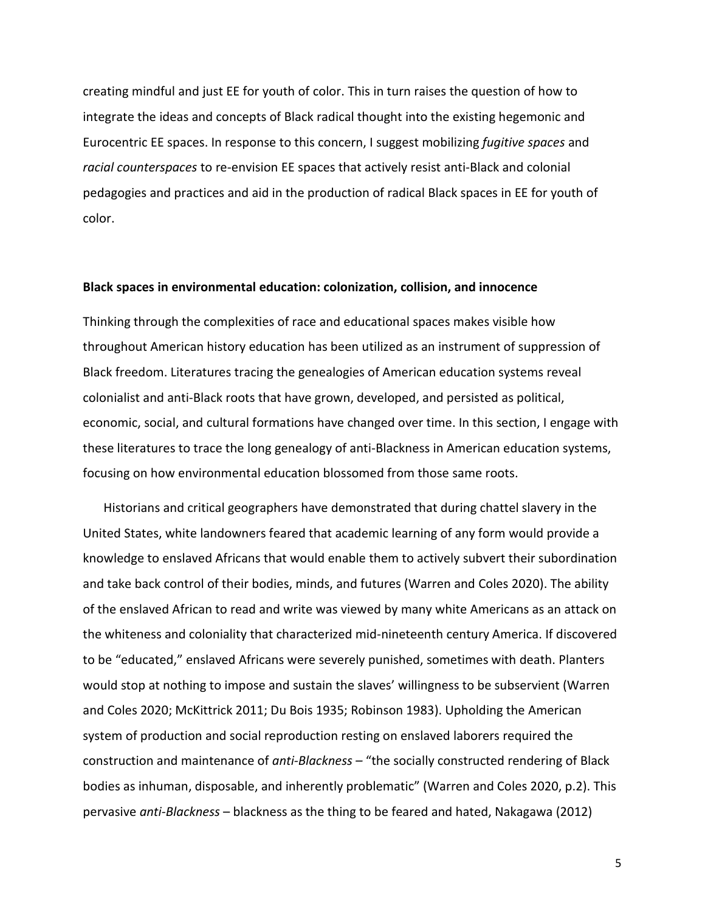creating mindful and just EE for youth of color. This in turn raises the question of how to integrate the ideas and concepts of Black radical thought into the existing hegemonic and Eurocentric EE spaces. In response to this concern, I suggest mobilizing *fugitive spaces* and *racial counterspaces* to re-envision EE spaces that actively resist anti-Black and colonial pedagogies and practices and aid in the production of radical Black spaces in EE for youth of color.

## **Black spaces in environmental education: colonization, collision, and innocence**

Thinking through the complexities of race and educational spaces makes visible how throughout American history education has been utilized as an instrument of suppression of Black freedom. Literatures tracing the genealogies of American education systems reveal colonialist and anti-Black roots that have grown, developed, and persisted as political, economic, social, and cultural formations have changed over time. In this section, I engage with these literatures to trace the long genealogy of anti-Blackness in American education systems, focusing on how environmental education blossomed from those same roots.

Historians and critical geographers have demonstrated that during chattel slavery in the United States, white landowners feared that academic learning of any form would provide a knowledge to enslaved Africans that would enable them to actively subvert their subordination and take back control of their bodies, minds, and futures (Warren and Coles 2020). The ability of the enslaved African to read and write was viewed by many white Americans as an attack on the whiteness and coloniality that characterized mid-nineteenth century America. If discovered to be "educated," enslaved Africans were severely punished, sometimes with death. Planters would stop at nothing to impose and sustain the slaves' willingness to be subservient (Warren and Coles 2020; McKittrick 2011; Du Bois 1935; Robinson 1983). Upholding the American system of production and social reproduction resting on enslaved laborers required the construction and maintenance of *anti-Blackness –* "the socially constructed rendering of Black bodies as inhuman, disposable, and inherently problematic" (Warren and Coles 2020, p.2). This pervasive *anti-Blackness* – blackness as the thing to be feared and hated, Nakagawa (2012)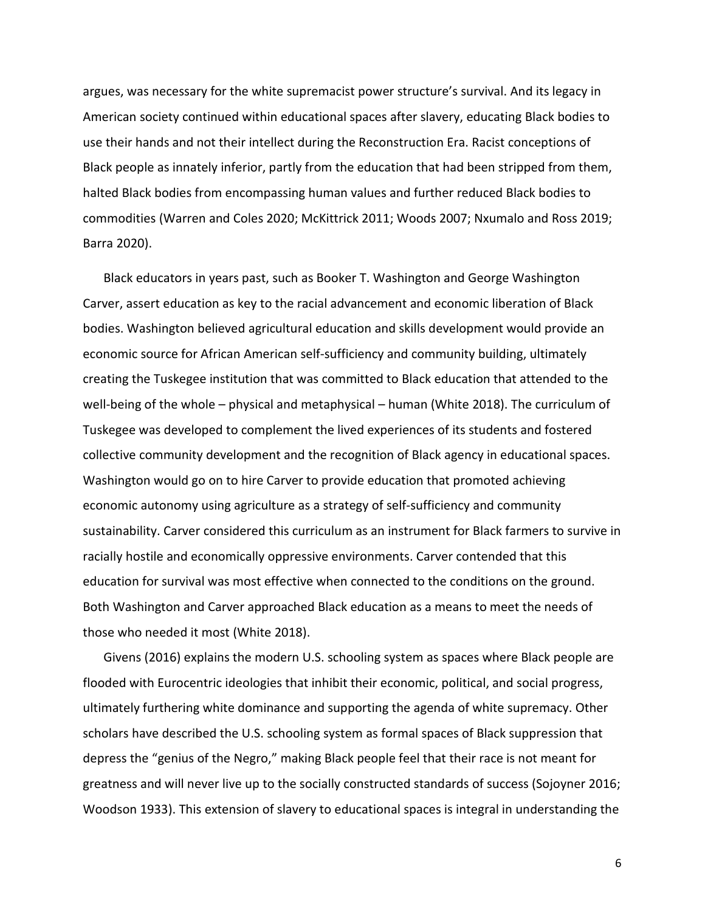argues, was necessary for the white supremacist power structure's survival. And its legacy in American society continued within educational spaces after slavery, educating Black bodies to use their hands and not their intellect during the Reconstruction Era. Racist conceptions of Black people as innately inferior, partly from the education that had been stripped from them, halted Black bodies from encompassing human values and further reduced Black bodies to commodities (Warren and Coles 2020; McKittrick 2011; Woods 2007; Nxumalo and Ross 2019; Barra 2020).

Black educators in years past, such as Booker T. Washington and George Washington Carver, assert education as key to the racial advancement and economic liberation of Black bodies. Washington believed agricultural education and skills development would provide an economic source for African American self-sufficiency and community building, ultimately creating the Tuskegee institution that was committed to Black education that attended to the well-being of the whole – physical and metaphysical – human (White 2018). The curriculum of Tuskegee was developed to complement the lived experiences of its students and fostered collective community development and the recognition of Black agency in educational spaces. Washington would go on to hire Carver to provide education that promoted achieving economic autonomy using agriculture as a strategy of self-sufficiency and community sustainability. Carver considered this curriculum as an instrument for Black farmers to survive in racially hostile and economically oppressive environments. Carver contended that this education for survival was most effective when connected to the conditions on the ground. Both Washington and Carver approached Black education as a means to meet the needs of those who needed it most (White 2018).

Givens (2016) explains the modern U.S. schooling system as spaces where Black people are flooded with Eurocentric ideologies that inhibit their economic, political, and social progress, ultimately furthering white dominance and supporting the agenda of white supremacy. Other scholars have described the U.S. schooling system as formal spaces of Black suppression that depress the "genius of the Negro," making Black people feel that their race is not meant for greatness and will never live up to the socially constructed standards of success (Sojoyner 2016; Woodson 1933). This extension of slavery to educational spaces is integral in understanding the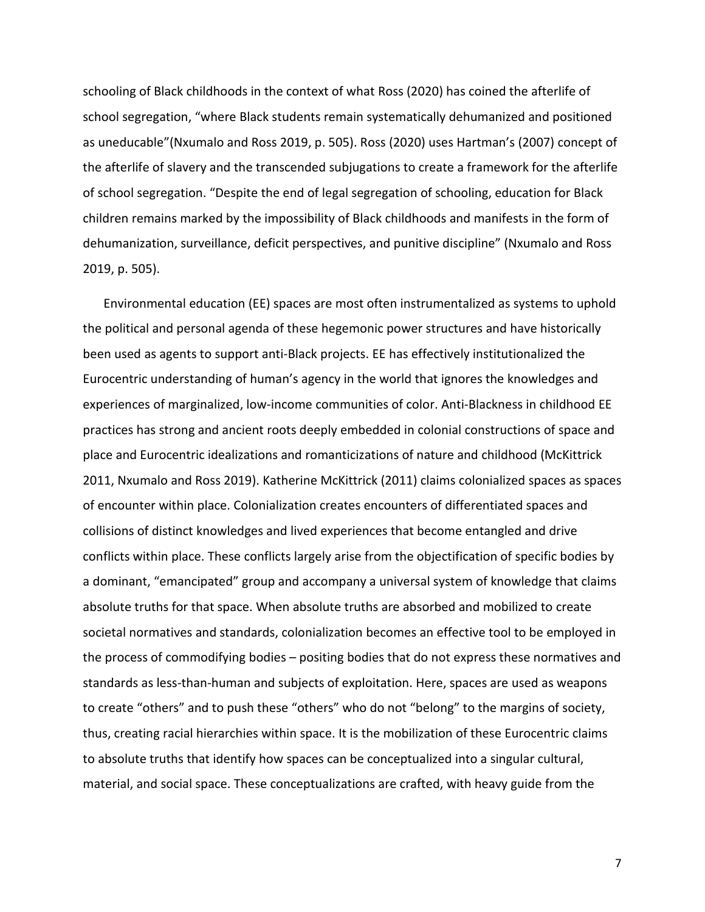schooling of Black childhoods in the context of what Ross (2020) has coined the afterlife of school segregation, "where Black students remain systematically dehumanized and positioned as uneducable"(Nxumalo and Ross 2019, p. 505). Ross (2020) uses Hartman's (2007) concept of the afterlife of slavery and the transcended subjugations to create a framework for the afterlife of school segregation. "Despite the end of legal segregation of schooling, education for Black children remains marked by the impossibility of Black childhoods and manifests in the form of dehumanization, surveillance, deficit perspectives, and punitive discipline" (Nxumalo and Ross 2019, p. 505).

Environmental education (EE) spaces are most often instrumentalized as systems to uphold the political and personal agenda of these hegemonic power structures and have historically been used as agents to support anti-Black projects. EE has effectively institutionalized the Eurocentric understanding of human's agency in the world that ignores the knowledges and experiences of marginalized, low-income communities of color. Anti-Blackness in childhood EE practices has strong and ancient roots deeply embedded in colonial constructions of space and place and Eurocentric idealizations and romanticizations of nature and childhood (McKittrick 2011, Nxumalo and Ross 2019). Katherine McKittrick (2011) claims colonialized spaces as spaces of encounter within place. Colonialization creates encounters of differentiated spaces and collisions of distinct knowledges and lived experiences that become entangled and drive conflicts within place. These conflicts largely arise from the objectification of specific bodies by a dominant, "emancipated" group and accompany a universal system of knowledge that claims absolute truths for that space. When absolute truths are absorbed and mobilized to create societal normatives and standards, colonialization becomes an effective tool to be employed in the process of commodifying bodies – positing bodies that do not express these normatives and standards as less-than-human and subjects of exploitation. Here, spaces are used as weapons to create "others" and to push these "others" who do not "belong" to the margins of society, thus, creating racial hierarchies within space. It is the mobilization of these Eurocentric claims to absolute truths that identify how spaces can be conceptualized into a singular cultural, material, and social space. These conceptualizations are crafted, with heavy guide from the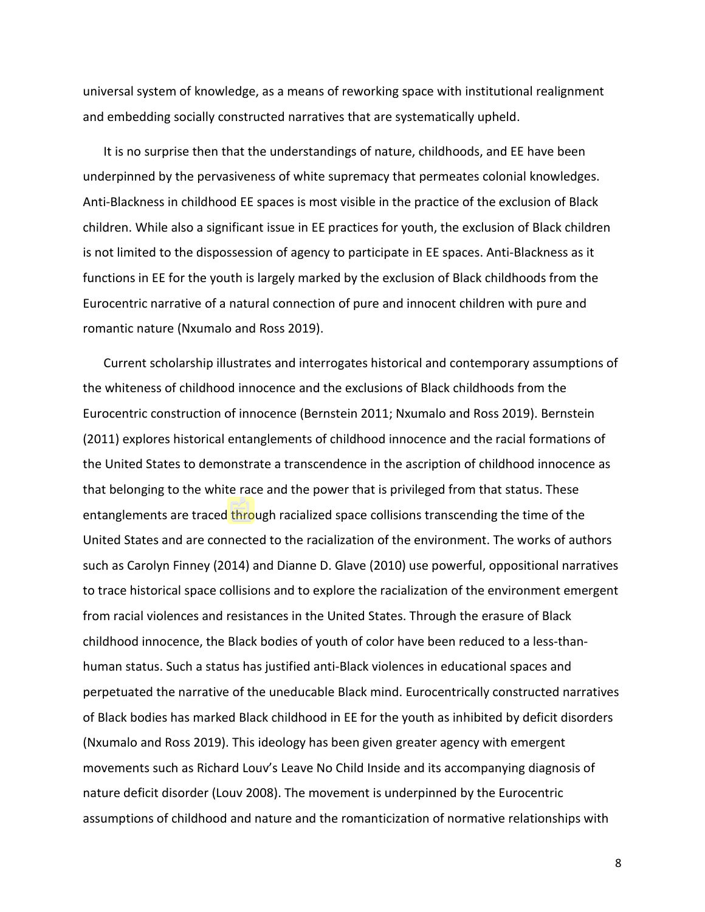universal system of knowledge, as a means of reworking space with institutional realignment and embedding socially constructed narratives that are systematically upheld.

It is no surprise then that the understandings of nature, childhoods, and EE have been underpinned by the pervasiveness of white supremacy that permeates colonial knowledges. Anti-Blackness in childhood EE spaces is most visible in the practice of the exclusion of Black children. While also a significant issue in EE practices for youth, the exclusion of Black children is not limited to the dispossession of agency to participate in EE spaces. Anti-Blackness as it functions in EE for the youth is largely marked by the exclusion of Black childhoods from the Eurocentric narrative of a natural connection of pure and innocent children with pure and romantic nature (Nxumalo and Ross 2019).

Current scholarship illustrates and interrogates historical and contemporary assumptions of the whiteness of childhood innocence and the exclusions of Black childhoods from the Eurocentric construction of innocence (Bernstein 2011; Nxumalo and Ross 2019). Bernstein (2011) explores historical entanglements of childhood innocence and the racial formations of the United States to demonstrate a transcendence in the ascription of childhood innocence as that belonging to the white race and the power that is privileged from that status. These entanglements are traced through racialized space collisions transcending the time of the United States and are connected to the racialization of the environment. The works of authors such as Carolyn Finney (2014) and Dianne D. Glave (2010) use powerful, oppositional narratives to trace historical space collisions and to explore the racialization of the environment emergent from racial violences and resistances in the United States. Through the erasure of Black childhood innocence, the Black bodies of youth of color have been reduced to a less-thanhuman status. Such a status has justified anti-Black violences in educational spaces and perpetuated the narrative of the uneducable Black mind. Eurocentrically constructed narratives of Black bodies has marked Black childhood in EE for the youth as inhibited by deficit disorders (Nxumalo and Ross 2019). This ideology has been given greater agency with emergent movements such as Richard Louv's Leave No Child Inside and its accompanying diagnosis of nature deficit disorder (Louv 2008). The movement is underpinned by the Eurocentric assumptions of childhood and nature and the romanticization of normative relationships with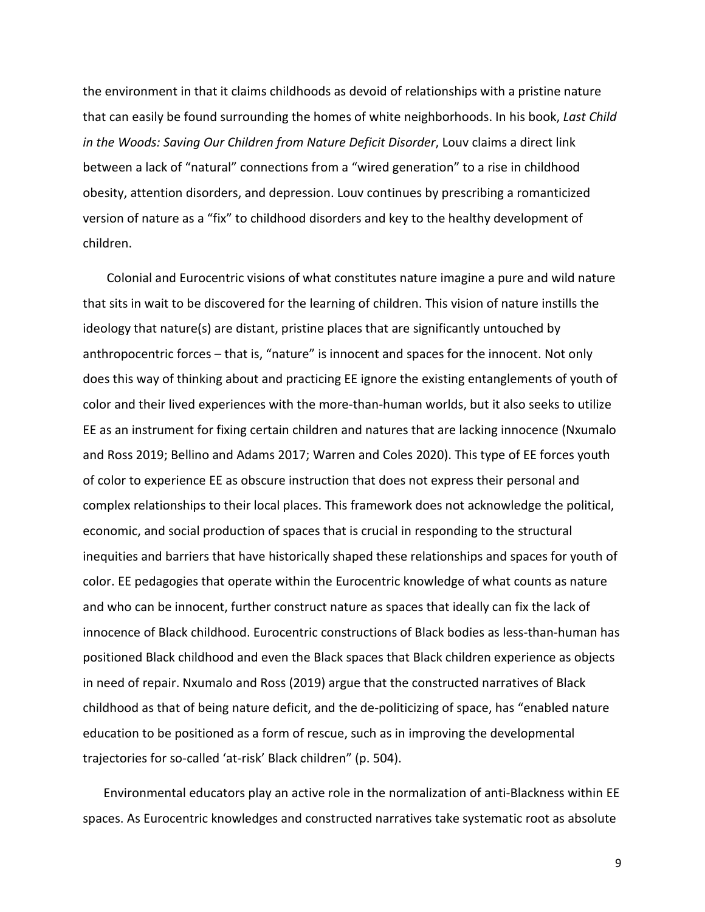the environment in that it claims childhoods as devoid of relationships with a pristine nature that can easily be found surrounding the homes of white neighborhoods. In his book, *Last Child in the Woods: Saving Our Children from Nature Deficit Disorder*, Louv claims a direct link between a lack of "natural" connections from a "wired generation" to a rise in childhood obesity, attention disorders, and depression. Louv continues by prescribing a romanticized version of nature as a "fix" to childhood disorders and key to the healthy development of children.

Colonial and Eurocentric visions of what constitutes nature imagine a pure and wild nature that sits in wait to be discovered for the learning of children. This vision of nature instills the ideology that nature(s) are distant, pristine places that are significantly untouched by anthropocentric forces – that is, "nature" is innocent and spaces for the innocent. Not only does this way of thinking about and practicing EE ignore the existing entanglements of youth of color and their lived experiences with the more-than-human worlds, but it also seeks to utilize EE as an instrument for fixing certain children and natures that are lacking innocence (Nxumalo and Ross 2019; Bellino and Adams 2017; Warren and Coles 2020). This type of EE forces youth of color to experience EE as obscure instruction that does not express their personal and complex relationships to their local places. This framework does not acknowledge the political, economic, and social production of spaces that is crucial in responding to the structural inequities and barriers that have historically shaped these relationships and spaces for youth of color. EE pedagogies that operate within the Eurocentric knowledge of what counts as nature and who can be innocent, further construct nature as spaces that ideally can fix the lack of innocence of Black childhood. Eurocentric constructions of Black bodies as less-than-human has positioned Black childhood and even the Black spaces that Black children experience as objects in need of repair. Nxumalo and Ross (2019) argue that the constructed narratives of Black childhood as that of being nature deficit, and the de-politicizing of space, has "enabled nature education to be positioned as a form of rescue, such as in improving the developmental trajectories for so-called 'at-risk' Black children" (p. 504).

Environmental educators play an active role in the normalization of anti-Blackness within EE spaces. As Eurocentric knowledges and constructed narratives take systematic root as absolute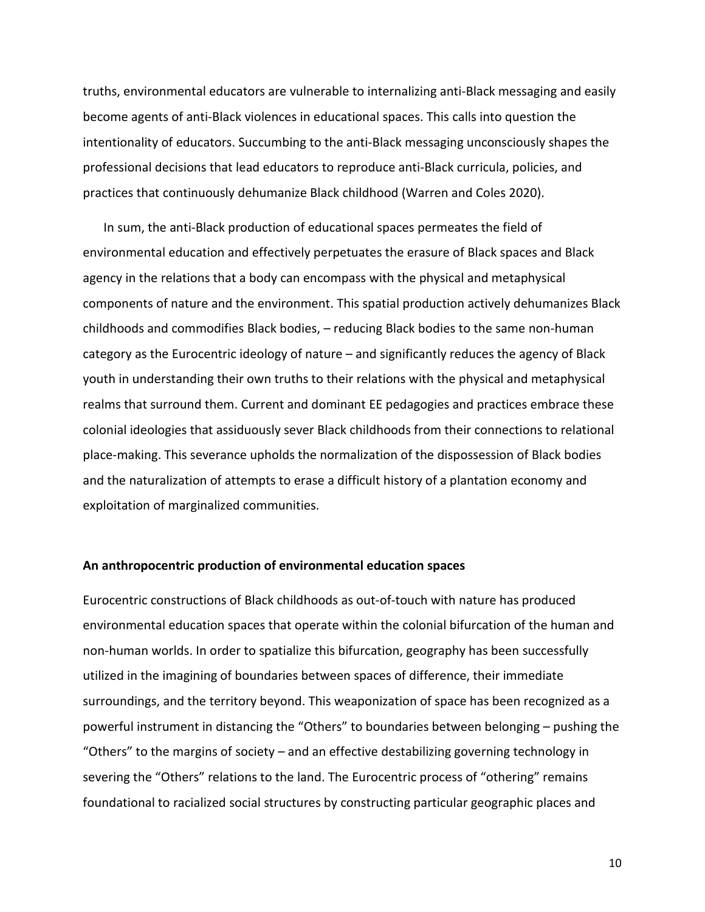truths, environmental educators are vulnerable to internalizing anti-Black messaging and easily become agents of anti-Black violences in educational spaces. This calls into question the intentionality of educators. Succumbing to the anti-Black messaging unconsciously shapes the professional decisions that lead educators to reproduce anti-Black curricula, policies, and practices that continuously dehumanize Black childhood (Warren and Coles 2020).

In sum, the anti-Black production of educational spaces permeates the field of environmental education and effectively perpetuates the erasure of Black spaces and Black agency in the relations that a body can encompass with the physical and metaphysical components of nature and the environment. This spatial production actively dehumanizes Black childhoods and commodifies Black bodies, – reducing Black bodies to the same non-human category as the Eurocentric ideology of nature – and significantly reduces the agency of Black youth in understanding their own truths to their relations with the physical and metaphysical realms that surround them. Current and dominant EE pedagogies and practices embrace these colonial ideologies that assiduously sever Black childhoods from their connections to relational place-making. This severance upholds the normalization of the dispossession of Black bodies and the naturalization of attempts to erase a difficult history of a plantation economy and exploitation of marginalized communities.

#### **An anthropocentric production of environmental education spaces**

Eurocentric constructions of Black childhoods as out-of-touch with nature has produced environmental education spaces that operate within the colonial bifurcation of the human and non-human worlds. In order to spatialize this bifurcation, geography has been successfully utilized in the imagining of boundaries between spaces of difference, their immediate surroundings, and the territory beyond. This weaponization of space has been recognized as a powerful instrument in distancing the "Others" to boundaries between belonging – pushing the "Others" to the margins of society – and an effective destabilizing governing technology in severing the "Others" relations to the land. The Eurocentric process of "othering" remains foundational to racialized social structures by constructing particular geographic places and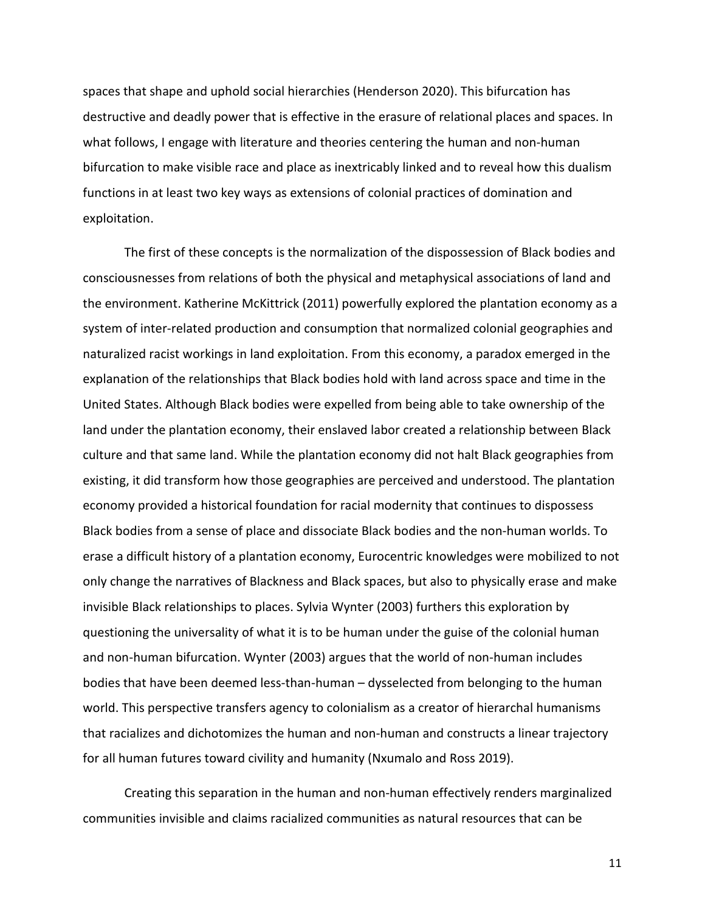spaces that shape and uphold social hierarchies (Henderson 2020). This bifurcation has destructive and deadly power that is effective in the erasure of relational places and spaces. In what follows, I engage with literature and theories centering the human and non-human bifurcation to make visible race and place as inextricably linked and to reveal how this dualism functions in at least two key ways as extensions of colonial practices of domination and exploitation.

The first of these concepts is the normalization of the dispossession of Black bodies and consciousnesses from relations of both the physical and metaphysical associations of land and the environment. Katherine McKittrick (2011) powerfully explored the plantation economy as a system of inter-related production and consumption that normalized colonial geographies and naturalized racist workings in land exploitation. From this economy, a paradox emerged in the explanation of the relationships that Black bodies hold with land across space and time in the United States. Although Black bodies were expelled from being able to take ownership of the land under the plantation economy, their enslaved labor created a relationship between Black culture and that same land. While the plantation economy did not halt Black geographies from existing, it did transform how those geographies are perceived and understood. The plantation economy provided a historical foundation for racial modernity that continues to dispossess Black bodies from a sense of place and dissociate Black bodies and the non-human worlds. To erase a difficult history of a plantation economy, Eurocentric knowledges were mobilized to not only change the narratives of Blackness and Black spaces, but also to physically erase and make invisible Black relationships to places. Sylvia Wynter (2003) furthers this exploration by questioning the universality of what it is to be human under the guise of the colonial human and non-human bifurcation. Wynter (2003) argues that the world of non-human includes bodies that have been deemed less-than-human – dysselected from belonging to the human world. This perspective transfers agency to colonialism as a creator of hierarchal humanisms that racializes and dichotomizes the human and non-human and constructs a linear trajectory for all human futures toward civility and humanity (Nxumalo and Ross 2019).

Creating this separation in the human and non-human effectively renders marginalized communities invisible and claims racialized communities as natural resources that can be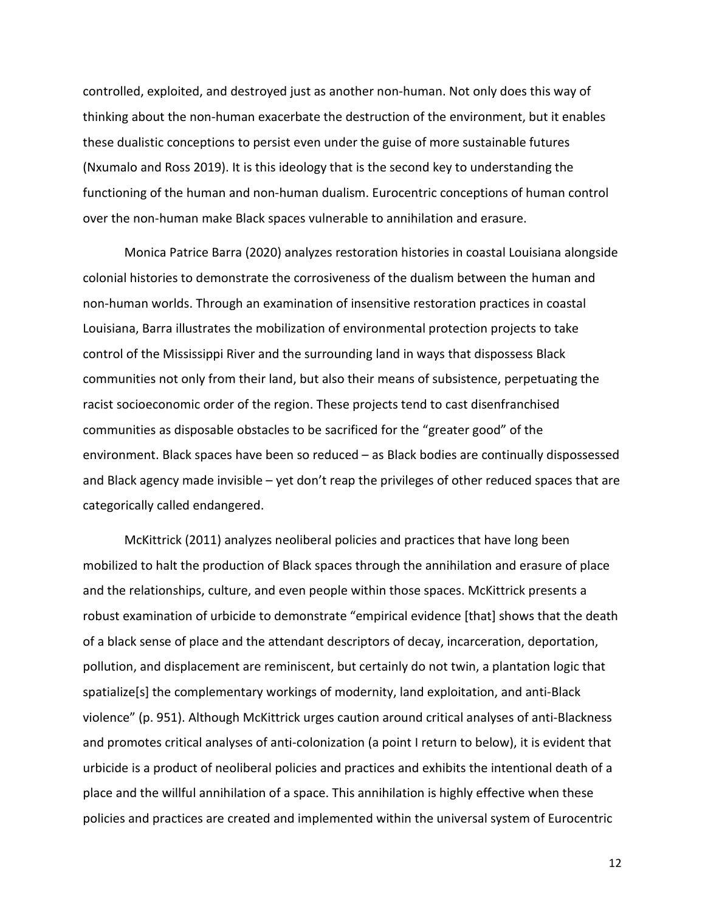controlled, exploited, and destroyed just as another non-human. Not only does this way of thinking about the non-human exacerbate the destruction of the environment, but it enables these dualistic conceptions to persist even under the guise of more sustainable futures (Nxumalo and Ross 2019). It is this ideology that is the second key to understanding the functioning of the human and non-human dualism. Eurocentric conceptions of human control over the non-human make Black spaces vulnerable to annihilation and erasure.

Monica Patrice Barra (2020) analyzes restoration histories in coastal Louisiana alongside colonial histories to demonstrate the corrosiveness of the dualism between the human and non-human worlds. Through an examination of insensitive restoration practices in coastal Louisiana, Barra illustrates the mobilization of environmental protection projects to take control of the Mississippi River and the surrounding land in ways that dispossess Black communities not only from their land, but also their means of subsistence, perpetuating the racist socioeconomic order of the region. These projects tend to cast disenfranchised communities as disposable obstacles to be sacrificed for the "greater good" of the environment. Black spaces have been so reduced – as Black bodies are continually dispossessed and Black agency made invisible – yet don't reap the privileges of other reduced spaces that are categorically called endangered.

McKittrick (2011) analyzes neoliberal policies and practices that have long been mobilized to halt the production of Black spaces through the annihilation and erasure of place and the relationships, culture, and even people within those spaces. McKittrick presents a robust examination of urbicide to demonstrate "empirical evidence [that] shows that the death of a black sense of place and the attendant descriptors of decay, incarceration, deportation, pollution, and displacement are reminiscent, but certainly do not twin, a plantation logic that spatialize[s] the complementary workings of modernity, land exploitation, and anti-Black violence" (p. 951). Although McKittrick urges caution around critical analyses of anti-Blackness and promotes critical analyses of anti-colonization (a point I return to below), it is evident that urbicide is a product of neoliberal policies and practices and exhibits the intentional death of a place and the willful annihilation of a space. This annihilation is highly effective when these policies and practices are created and implemented within the universal system of Eurocentric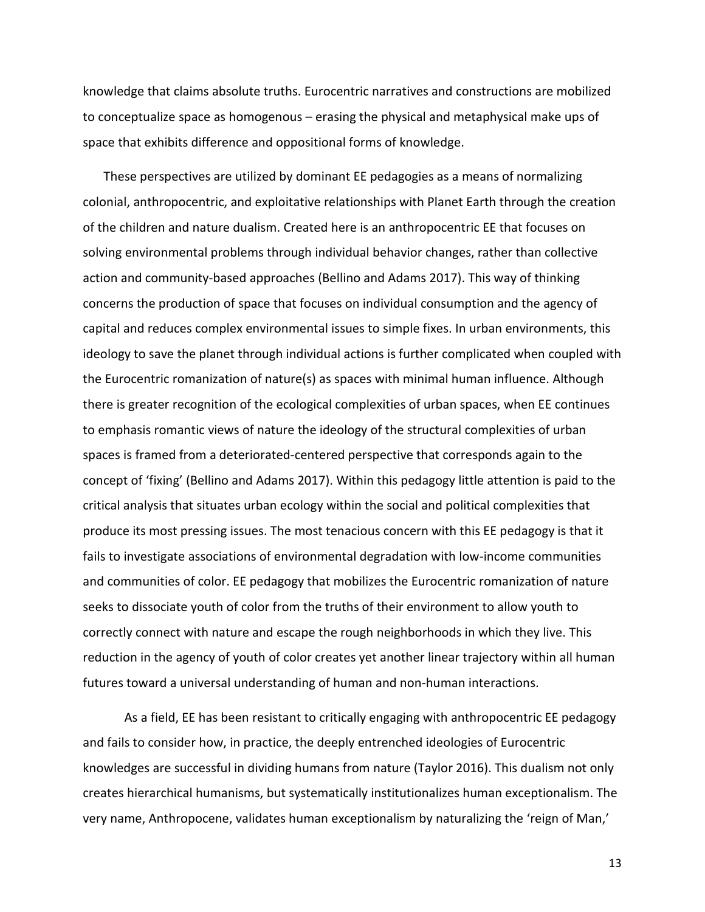knowledge that claims absolute truths. Eurocentric narratives and constructions are mobilized to conceptualize space as homogenous – erasing the physical and metaphysical make ups of space that exhibits difference and oppositional forms of knowledge.

These perspectives are utilized by dominant EE pedagogies as a means of normalizing colonial, anthropocentric, and exploitative relationships with Planet Earth through the creation of the children and nature dualism. Created here is an anthropocentric EE that focuses on solving environmental problems through individual behavior changes, rather than collective action and community-based approaches (Bellino and Adams 2017). This way of thinking concerns the production of space that focuses on individual consumption and the agency of capital and reduces complex environmental issues to simple fixes. In urban environments, this ideology to save the planet through individual actions is further complicated when coupled with the Eurocentric romanization of nature(s) as spaces with minimal human influence. Although there is greater recognition of the ecological complexities of urban spaces, when EE continues to emphasis romantic views of nature the ideology of the structural complexities of urban spaces is framed from a deteriorated-centered perspective that corresponds again to the concept of 'fixing' (Bellino and Adams 2017). Within this pedagogy little attention is paid to the critical analysis that situates urban ecology within the social and political complexities that produce its most pressing issues. The most tenacious concern with this EE pedagogy is that it fails to investigate associations of environmental degradation with low-income communities and communities of color. EE pedagogy that mobilizes the Eurocentric romanization of nature seeks to dissociate youth of color from the truths of their environment to allow youth to correctly connect with nature and escape the rough neighborhoods in which they live. This reduction in the agency of youth of color creates yet another linear trajectory within all human futures toward a universal understanding of human and non-human interactions.

As a field, EE has been resistant to critically engaging with anthropocentric EE pedagogy and fails to consider how, in practice, the deeply entrenched ideologies of Eurocentric knowledges are successful in dividing humans from nature (Taylor 2016). This dualism not only creates hierarchical humanisms, but systematically institutionalizes human exceptionalism. The very name, Anthropocene, validates human exceptionalism by naturalizing the 'reign of Man,'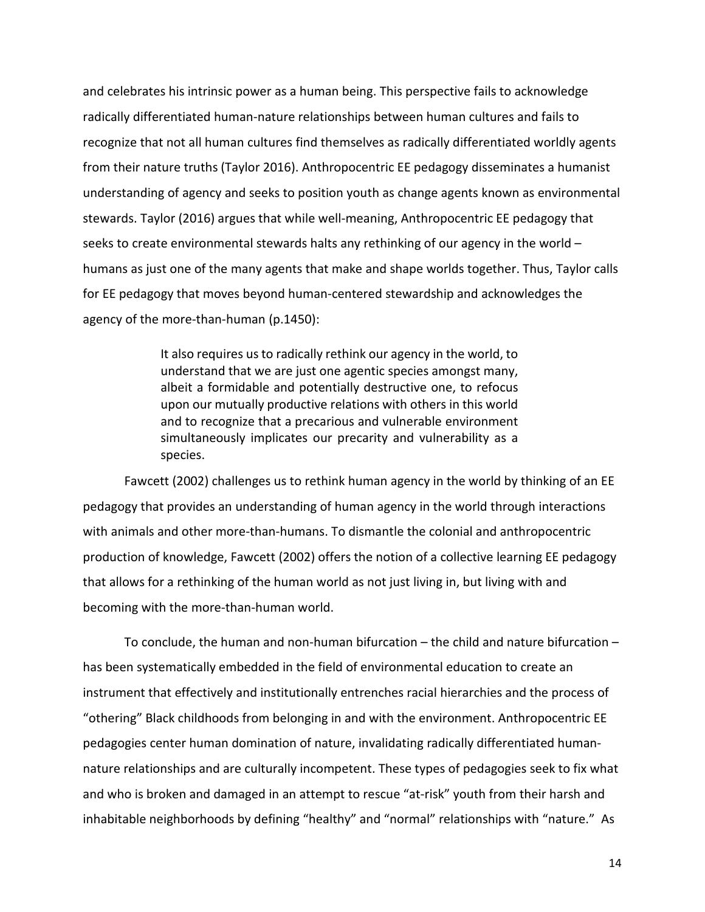and celebrates his intrinsic power as a human being. This perspective fails to acknowledge radically differentiated human-nature relationships between human cultures and fails to recognize that not all human cultures find themselves as radically differentiated worldly agents from their nature truths (Taylor 2016). Anthropocentric EE pedagogy disseminates a humanist understanding of agency and seeks to position youth as change agents known as environmental stewards. Taylor (2016) argues that while well-meaning, Anthropocentric EE pedagogy that seeks to create environmental stewards halts any rethinking of our agency in the world – humans as just one of the many agents that make and shape worlds together. Thus, Taylor calls for EE pedagogy that moves beyond human-centered stewardship and acknowledges the agency of the more-than-human (p.1450):

> It also requires us to radically rethink our agency in the world, to understand that we are just one agentic species amongst many, albeit a formidable and potentially destructive one, to refocus upon our mutually productive relations with others in this world and to recognize that a precarious and vulnerable environment simultaneously implicates our precarity and vulnerability as a species.

Fawcett (2002) challenges us to rethink human agency in the world by thinking of an EE pedagogy that provides an understanding of human agency in the world through interactions with animals and other more-than-humans. To dismantle the colonial and anthropocentric production of knowledge, Fawcett (2002) offers the notion of a collective learning EE pedagogy that allows for a rethinking of the human world as not just living in, but living with and becoming with the more-than-human world.

To conclude, the human and non-human bifurcation – the child and nature bifurcation – has been systematically embedded in the field of environmental education to create an instrument that effectively and institutionally entrenches racial hierarchies and the process of "othering" Black childhoods from belonging in and with the environment. Anthropocentric EE pedagogies center human domination of nature, invalidating radically differentiated humannature relationships and are culturally incompetent. These types of pedagogies seek to fix what and who is broken and damaged in an attempt to rescue "at-risk" youth from their harsh and inhabitable neighborhoods by defining "healthy" and "normal" relationships with "nature." As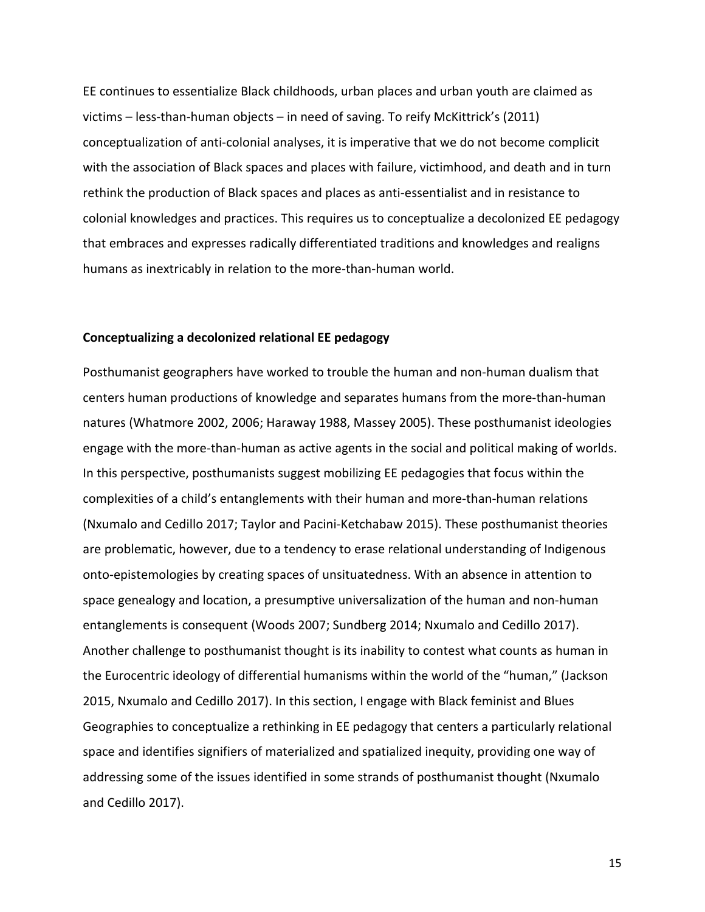EE continues to essentialize Black childhoods, urban places and urban youth are claimed as victims – less-than-human objects – in need of saving. To reify McKittrick's (2011) conceptualization of anti-colonial analyses, it is imperative that we do not become complicit with the association of Black spaces and places with failure, victimhood, and death and in turn rethink the production of Black spaces and places as anti-essentialist and in resistance to colonial knowledges and practices. This requires us to conceptualize a decolonized EE pedagogy that embraces and expresses radically differentiated traditions and knowledges and realigns humans as inextricably in relation to the more-than-human world.

#### **Conceptualizing a decolonized relational EE pedagogy**

Posthumanist geographers have worked to trouble the human and non-human dualism that centers human productions of knowledge and separates humans from the more-than-human natures (Whatmore 2002, 2006; Haraway 1988, Massey 2005). These posthumanist ideologies engage with the more-than-human as active agents in the social and political making of worlds. In this perspective, posthumanists suggest mobilizing EE pedagogies that focus within the complexities of a child's entanglements with their human and more-than-human relations (Nxumalo and Cedillo 2017; Taylor and Pacini-Ketchabaw 2015). These posthumanist theories are problematic, however, due to a tendency to erase relational understanding of Indigenous onto-epistemologies by creating spaces of unsituatedness. With an absence in attention to space genealogy and location, a presumptive universalization of the human and non-human entanglements is consequent (Woods 2007; Sundberg 2014; Nxumalo and Cedillo 2017). Another challenge to posthumanist thought is its inability to contest what counts as human in the Eurocentric ideology of differential humanisms within the world of the "human," (Jackson 2015, Nxumalo and Cedillo 2017). In this section, I engage with Black feminist and Blues Geographies to conceptualize a rethinking in EE pedagogy that centers a particularly relational space and identifies signifiers of materialized and spatialized inequity, providing one way of addressing some of the issues identified in some strands of posthumanist thought (Nxumalo and Cedillo 2017).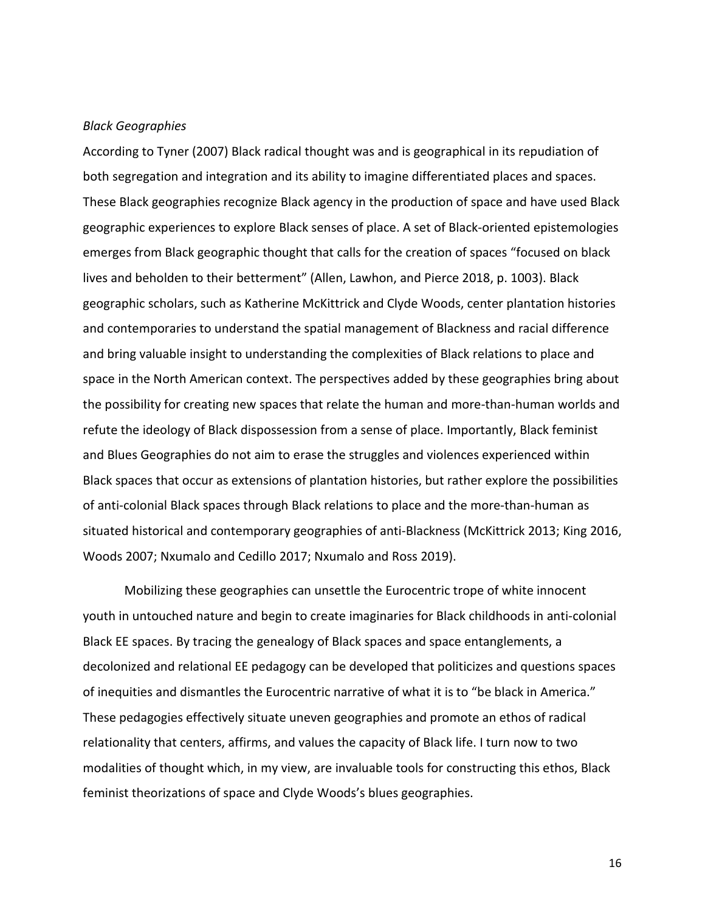#### *Black Geographies*

According to Tyner (2007) Black radical thought was and is geographical in its repudiation of both segregation and integration and its ability to imagine differentiated places and spaces. These Black geographies recognize Black agency in the production of space and have used Black geographic experiences to explore Black senses of place. A set of Black-oriented epistemologies emerges from Black geographic thought that calls for the creation of spaces "focused on black lives and beholden to their betterment" (Allen, Lawhon, and Pierce 2018, p. 1003). Black geographic scholars, such as Katherine McKittrick and Clyde Woods, center plantation histories and contemporaries to understand the spatial management of Blackness and racial difference and bring valuable insight to understanding the complexities of Black relations to place and space in the North American context. The perspectives added by these geographies bring about the possibility for creating new spaces that relate the human and more-than-human worlds and refute the ideology of Black dispossession from a sense of place. Importantly, Black feminist and Blues Geographies do not aim to erase the struggles and violences experienced within Black spaces that occur as extensions of plantation histories, but rather explore the possibilities of anti-colonial Black spaces through Black relations to place and the more-than-human as situated historical and contemporary geographies of anti-Blackness (McKittrick 2013; King 2016, Woods 2007; Nxumalo and Cedillo 2017; Nxumalo and Ross 2019).

Mobilizing these geographies can unsettle the Eurocentric trope of white innocent youth in untouched nature and begin to create imaginaries for Black childhoods in anti-colonial Black EE spaces. By tracing the genealogy of Black spaces and space entanglements, a decolonized and relational EE pedagogy can be developed that politicizes and questions spaces of inequities and dismantles the Eurocentric narrative of what it is to "be black in America." These pedagogies effectively situate uneven geographies and promote an ethos of radical relationality that centers, affirms, and values the capacity of Black life. I turn now to two modalities of thought which, in my view, are invaluable tools for constructing this ethos, Black feminist theorizations of space and Clyde Woods's blues geographies.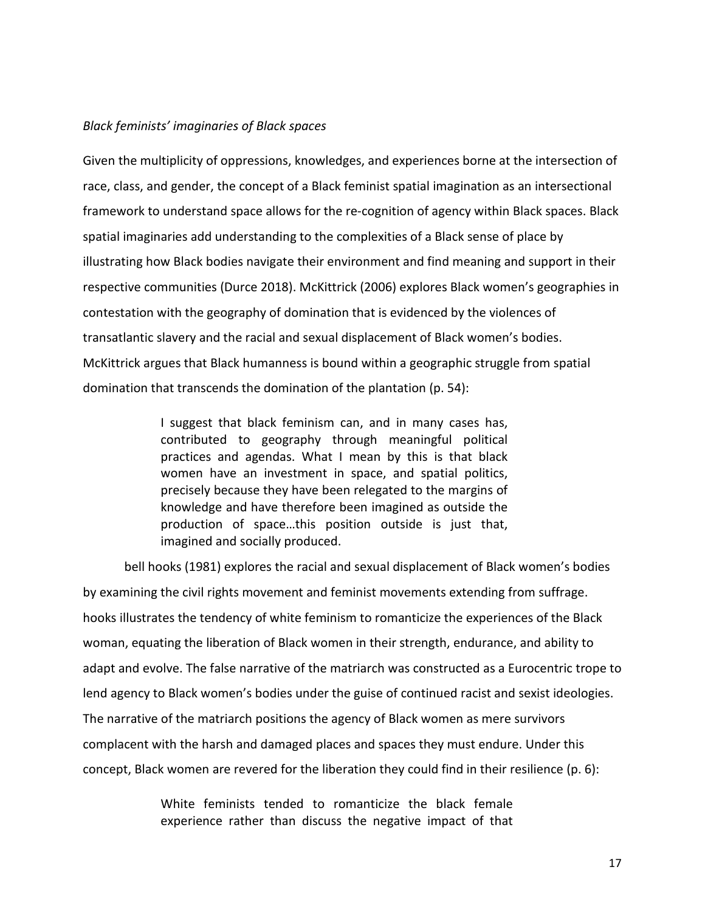## *Black feminists' imaginaries of Black spaces*

Given the multiplicity of oppressions, knowledges, and experiences borne at the intersection of race, class, and gender, the concept of a Black feminist spatial imagination as an intersectional framework to understand space allows for the re-cognition of agency within Black spaces. Black spatial imaginaries add understanding to the complexities of a Black sense of place by illustrating how Black bodies navigate their environment and find meaning and support in their respective communities (Durce 2018). McKittrick (2006) explores Black women's geographies in contestation with the geography of domination that is evidenced by the violences of transatlantic slavery and the racial and sexual displacement of Black women's bodies. McKittrick argues that Black humanness is bound within a geographic struggle from spatial domination that transcends the domination of the plantation (p. 54):

> I suggest that black feminism can, and in many cases has, contributed to geography through meaningful political practices and agendas. What I mean by this is that black women have an investment in space, and spatial politics, precisely because they have been relegated to the margins of knowledge and have therefore been imagined as outside the production of space…this position outside is just that, imagined and socially produced.

bell hooks (1981) explores the racial and sexual displacement of Black women's bodies by examining the civil rights movement and feminist movements extending from suffrage. hooks illustrates the tendency of white feminism to romanticize the experiences of the Black woman, equating the liberation of Black women in their strength, endurance, and ability to adapt and evolve. The false narrative of the matriarch was constructed as a Eurocentric trope to lend agency to Black women's bodies under the guise of continued racist and sexist ideologies. The narrative of the matriarch positions the agency of Black women as mere survivors complacent with the harsh and damaged places and spaces they must endure. Under this concept, Black women are revered for the liberation they could find in their resilience (p. 6):

> White feminists tended to romanticize the black female experience rather than discuss the negative impact of that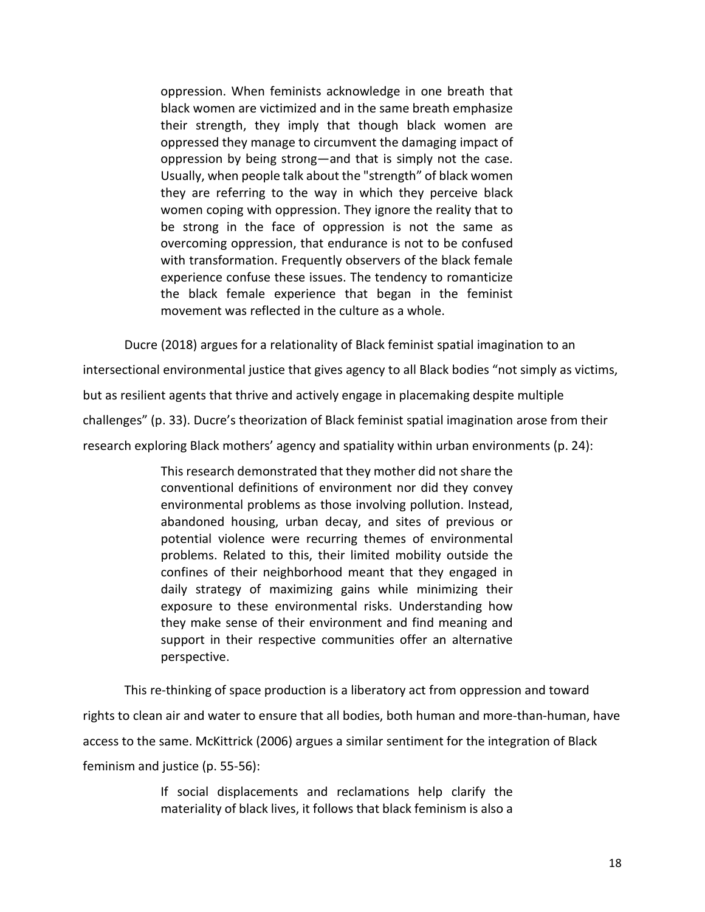oppression. When feminists acknowledge in one breath that black women are victimized and in the same breath emphasize their strength, they imply that though black women are oppressed they manage to circumvent the damaging impact of oppression by being strong—and that is simply not the case. Usually, when people talk about the "strength" of black women they are referring to the way in which they perceive black women coping with oppression. They ignore the reality that to be strong in the face of oppression is not the same as overcoming oppression, that endurance is not to be confused with transformation. Frequently observers of the black female experience confuse these issues. The tendency to romanticize the black female experience that began in the feminist movement was reflected in the culture as a whole.

Ducre (2018) argues for a relationality of Black feminist spatial imagination to an intersectional environmental justice that gives agency to all Black bodies "not simply as victims,

but as resilient agents that thrive and actively engage in placemaking despite multiple

challenges" (p. 33). Ducre's theorization of Black feminist spatial imagination arose from their

research exploring Black mothers' agency and spatiality within urban environments (p. 24):

This research demonstrated that they mother did not share the conventional definitions of environment nor did they convey environmental problems as those involving pollution. Instead, abandoned housing, urban decay, and sites of previous or potential violence were recurring themes of environmental problems. Related to this, their limited mobility outside the confines of their neighborhood meant that they engaged in daily strategy of maximizing gains while minimizing their exposure to these environmental risks. Understanding how they make sense of their environment and find meaning and support in their respective communities offer an alternative perspective.

This re-thinking of space production is a liberatory act from oppression and toward rights to clean air and water to ensure that all bodies, both human and more-than-human, have access to the same. McKittrick (2006) argues a similar sentiment for the integration of Black feminism and justice (p. 55-56):

> If social displacements and reclamations help clarify the materiality of black lives, it follows that black feminism is also a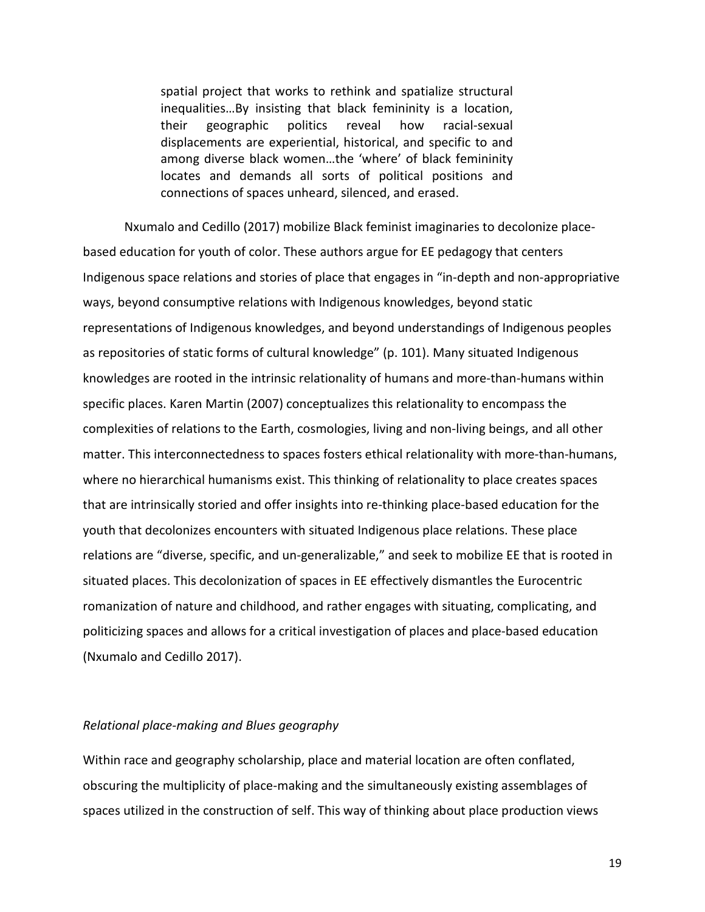spatial project that works to rethink and spatialize structural inequalities…By insisting that black femininity is a location, their geographic politics reveal how racial-sexual displacements are experiential, historical, and specific to and among diverse black women…the 'where' of black femininity locates and demands all sorts of political positions and connections of spaces unheard, silenced, and erased.

Nxumalo and Cedillo (2017) mobilize Black feminist imaginaries to decolonize placebased education for youth of color. These authors argue for EE pedagogy that centers Indigenous space relations and stories of place that engages in "in-depth and non-appropriative ways, beyond consumptive relations with Indigenous knowledges, beyond static representations of Indigenous knowledges, and beyond understandings of Indigenous peoples as repositories of static forms of cultural knowledge" (p. 101). Many situated Indigenous knowledges are rooted in the intrinsic relationality of humans and more-than-humans within specific places. Karen Martin (2007) conceptualizes this relationality to encompass the complexities of relations to the Earth, cosmologies, living and non-living beings, and all other matter. This interconnectedness to spaces fosters ethical relationality with more-than-humans, where no hierarchical humanisms exist. This thinking of relationality to place creates spaces that are intrinsically storied and offer insights into re-thinking place-based education for the youth that decolonizes encounters with situated Indigenous place relations. These place relations are "diverse, specific, and un-generalizable," and seek to mobilize EE that is rooted in situated places. This decolonization of spaces in EE effectively dismantles the Eurocentric romanization of nature and childhood, and rather engages with situating, complicating, and politicizing spaces and allows for a critical investigation of places and place-based education (Nxumalo and Cedillo 2017).

#### *Relational place-making and Blues geography*

Within race and geography scholarship, place and material location are often conflated, obscuring the multiplicity of place-making and the simultaneously existing assemblages of spaces utilized in the construction of self. This way of thinking about place production views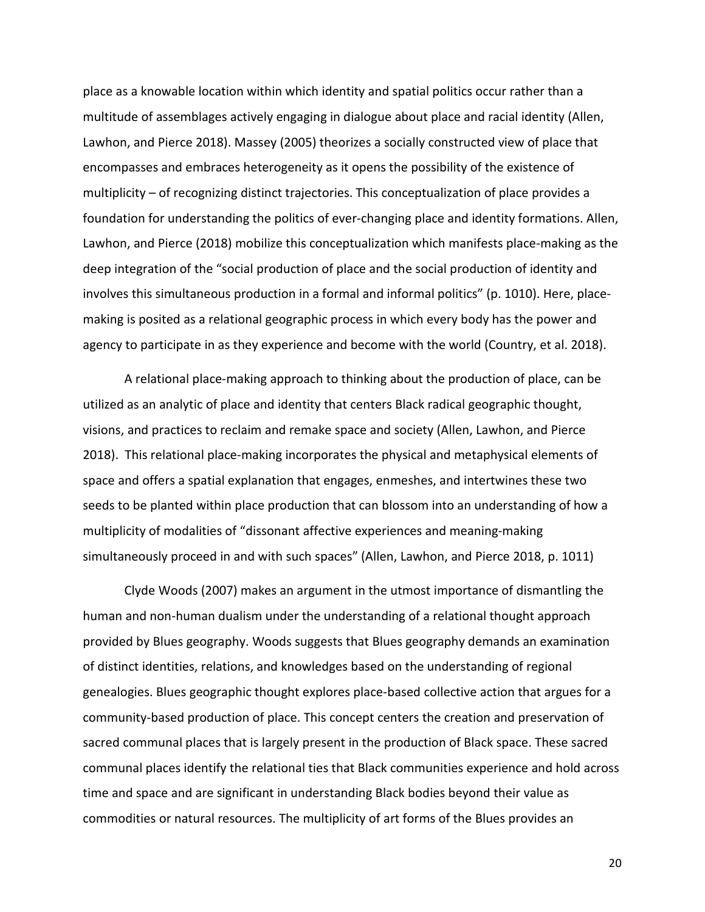place as a knowable location within which identity and spatial politics occur rather than a multitude of assemblages actively engaging in dialogue about place and racial identity (Allen, Lawhon, and Pierce 2018). Massey (2005) theorizes a socially constructed view of place that encompasses and embraces heterogeneity as it opens the possibility of the existence of multiplicity – of recognizing distinct trajectories. This conceptualization of place provides a foundation for understanding the politics of ever-changing place and identity formations. Allen, Lawhon, and Pierce (2018) mobilize this conceptualization which manifests place-making as the deep integration of the "social production of place and the social production of identity and involves this simultaneous production in a formal and informal politics" (p. 1010). Here, placemaking is posited as a relational geographic process in which every body has the power and agency to participate in as they experience and become with the world (Country, et al. 2018).

A relational place-making approach to thinking about the production of place, can be utilized as an analytic of place and identity that centers Black radical geographic thought, visions, and practices to reclaim and remake space and society (Allen, Lawhon, and Pierce 2018). This relational place-making incorporates the physical and metaphysical elements of space and offers a spatial explanation that engages, enmeshes, and intertwines these two seeds to be planted within place production that can blossom into an understanding of how a multiplicity of modalities of "dissonant affective experiences and meaning-making simultaneously proceed in and with such spaces" (Allen, Lawhon, and Pierce 2018, p. 1011)

Clyde Woods (2007) makes an argument in the utmost importance of dismantling the human and non-human dualism under the understanding of a relational thought approach provided by Blues geography. Woods suggests that Blues geography demands an examination of distinct identities, relations, and knowledges based on the understanding of regional genealogies. Blues geographic thought explores place-based collective action that argues for a community-based production of place. This concept centers the creation and preservation of sacred communal places that is largely present in the production of Black space. These sacred communal places identify the relational ties that Black communities experience and hold across time and space and are significant in understanding Black bodies beyond their value as commodities or natural resources. The multiplicity of art forms of the Blues provides an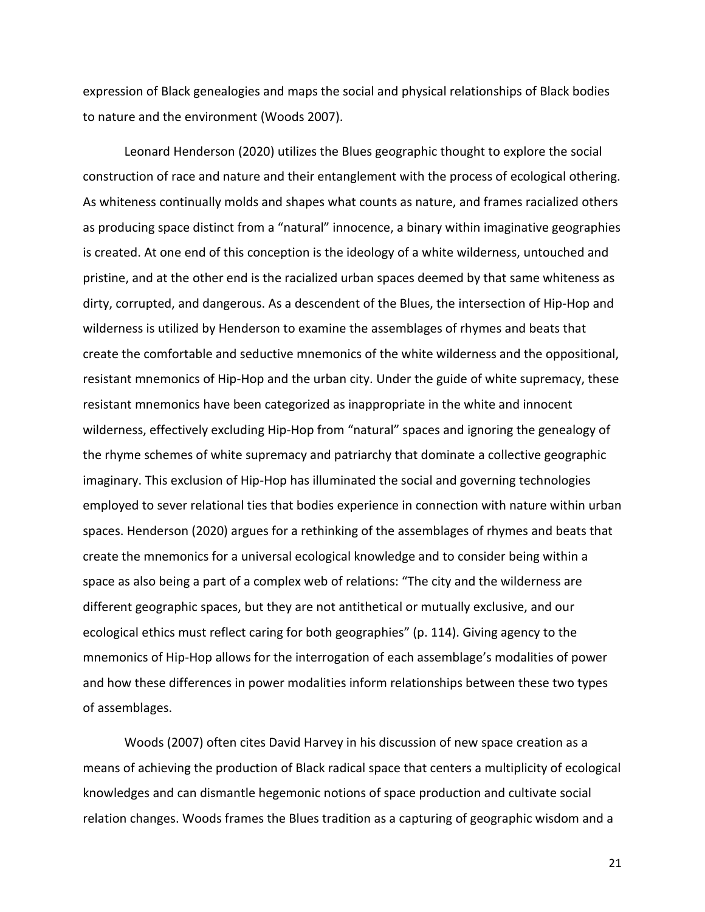expression of Black genealogies and maps the social and physical relationships of Black bodies to nature and the environment (Woods 2007).

Leonard Henderson (2020) utilizes the Blues geographic thought to explore the social construction of race and nature and their entanglement with the process of ecological othering. As whiteness continually molds and shapes what counts as nature, and frames racialized others as producing space distinct from a "natural" innocence, a binary within imaginative geographies is created. At one end of this conception is the ideology of a white wilderness, untouched and pristine, and at the other end is the racialized urban spaces deemed by that same whiteness as dirty, corrupted, and dangerous. As a descendent of the Blues, the intersection of Hip-Hop and wilderness is utilized by Henderson to examine the assemblages of rhymes and beats that create the comfortable and seductive mnemonics of the white wilderness and the oppositional, resistant mnemonics of Hip-Hop and the urban city. Under the guide of white supremacy, these resistant mnemonics have been categorized as inappropriate in the white and innocent wilderness, effectively excluding Hip-Hop from "natural" spaces and ignoring the genealogy of the rhyme schemes of white supremacy and patriarchy that dominate a collective geographic imaginary. This exclusion of Hip-Hop has illuminated the social and governing technologies employed to sever relational ties that bodies experience in connection with nature within urban spaces. Henderson (2020) argues for a rethinking of the assemblages of rhymes and beats that create the mnemonics for a universal ecological knowledge and to consider being within a space as also being a part of a complex web of relations: "The city and the wilderness are different geographic spaces, but they are not antithetical or mutually exclusive, and our ecological ethics must reflect caring for both geographies" (p. 114). Giving agency to the mnemonics of Hip-Hop allows for the interrogation of each assemblage's modalities of power and how these differences in power modalities inform relationships between these two types of assemblages.

Woods (2007) often cites David Harvey in his discussion of new space creation as a means of achieving the production of Black radical space that centers a multiplicity of ecological knowledges and can dismantle hegemonic notions of space production and cultivate social relation changes. Woods frames the Blues tradition as a capturing of geographic wisdom and a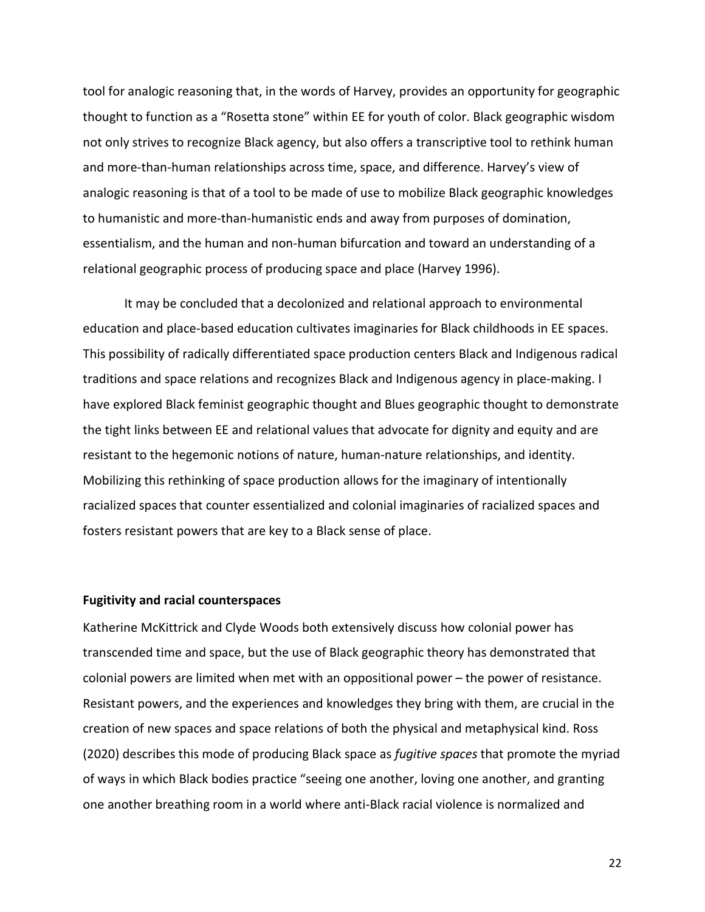tool for analogic reasoning that, in the words of Harvey, provides an opportunity for geographic thought to function as a "Rosetta stone" within EE for youth of color. Black geographic wisdom not only strives to recognize Black agency, but also offers a transcriptive tool to rethink human and more-than-human relationships across time, space, and difference. Harvey's view of analogic reasoning is that of a tool to be made of use to mobilize Black geographic knowledges to humanistic and more-than-humanistic ends and away from purposes of domination, essentialism, and the human and non-human bifurcation and toward an understanding of a relational geographic process of producing space and place (Harvey 1996).

It may be concluded that a decolonized and relational approach to environmental education and place-based education cultivates imaginaries for Black childhoods in EE spaces. This possibility of radically differentiated space production centers Black and Indigenous radical traditions and space relations and recognizes Black and Indigenous agency in place-making. I have explored Black feminist geographic thought and Blues geographic thought to demonstrate the tight links between EE and relational values that advocate for dignity and equity and are resistant to the hegemonic notions of nature, human-nature relationships, and identity. Mobilizing this rethinking of space production allows for the imaginary of intentionally racialized spaces that counter essentialized and colonial imaginaries of racialized spaces and fosters resistant powers that are key to a Black sense of place.

#### **Fugitivity and racial counterspaces**

Katherine McKittrick and Clyde Woods both extensively discuss how colonial power has transcended time and space, but the use of Black geographic theory has demonstrated that colonial powers are limited when met with an oppositional power – the power of resistance. Resistant powers, and the experiences and knowledges they bring with them, are crucial in the creation of new spaces and space relations of both the physical and metaphysical kind. Ross (2020) describes this mode of producing Black space as *fugitive spaces* that promote the myriad of ways in which Black bodies practice "seeing one another, loving one another, and granting one another breathing room in a world where anti-Black racial violence is normalized and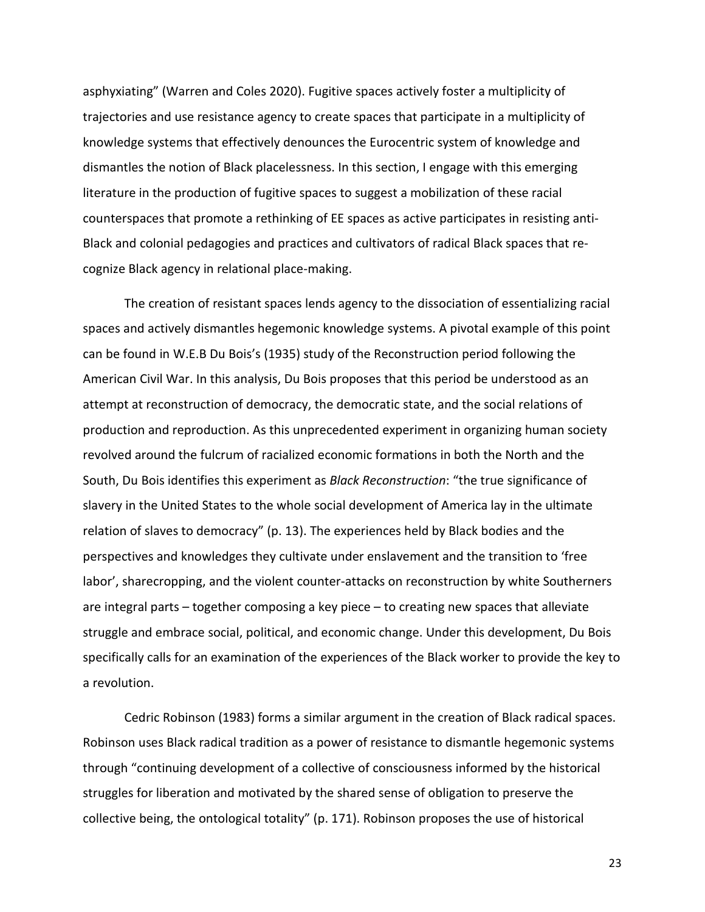asphyxiating" (Warren and Coles 2020). Fugitive spaces actively foster a multiplicity of trajectories and use resistance agency to create spaces that participate in a multiplicity of knowledge systems that effectively denounces the Eurocentric system of knowledge and dismantles the notion of Black placelessness. In this section, I engage with this emerging literature in the production of fugitive spaces to suggest a mobilization of these racial counterspaces that promote a rethinking of EE spaces as active participates in resisting anti-Black and colonial pedagogies and practices and cultivators of radical Black spaces that recognize Black agency in relational place-making.

The creation of resistant spaces lends agency to the dissociation of essentializing racial spaces and actively dismantles hegemonic knowledge systems. A pivotal example of this point can be found in W.E.B Du Bois's (1935) study of the Reconstruction period following the American Civil War. In this analysis, Du Bois proposes that this period be understood as an attempt at reconstruction of democracy, the democratic state, and the social relations of production and reproduction. As this unprecedented experiment in organizing human society revolved around the fulcrum of racialized economic formations in both the North and the South, Du Bois identifies this experiment as *Black Reconstruction*: "the true significance of slavery in the United States to the whole social development of America lay in the ultimate relation of slaves to democracy" (p. 13). The experiences held by Black bodies and the perspectives and knowledges they cultivate under enslavement and the transition to 'free labor', sharecropping, and the violent counter-attacks on reconstruction by white Southerners are integral parts – together composing a key piece – to creating new spaces that alleviate struggle and embrace social, political, and economic change. Under this development, Du Bois specifically calls for an examination of the experiences of the Black worker to provide the key to a revolution.

Cedric Robinson (1983) forms a similar argument in the creation of Black radical spaces. Robinson uses Black radical tradition as a power of resistance to dismantle hegemonic systems through "continuing development of a collective of consciousness informed by the historical struggles for liberation and motivated by the shared sense of obligation to preserve the collective being, the ontological totality" (p. 171). Robinson proposes the use of historical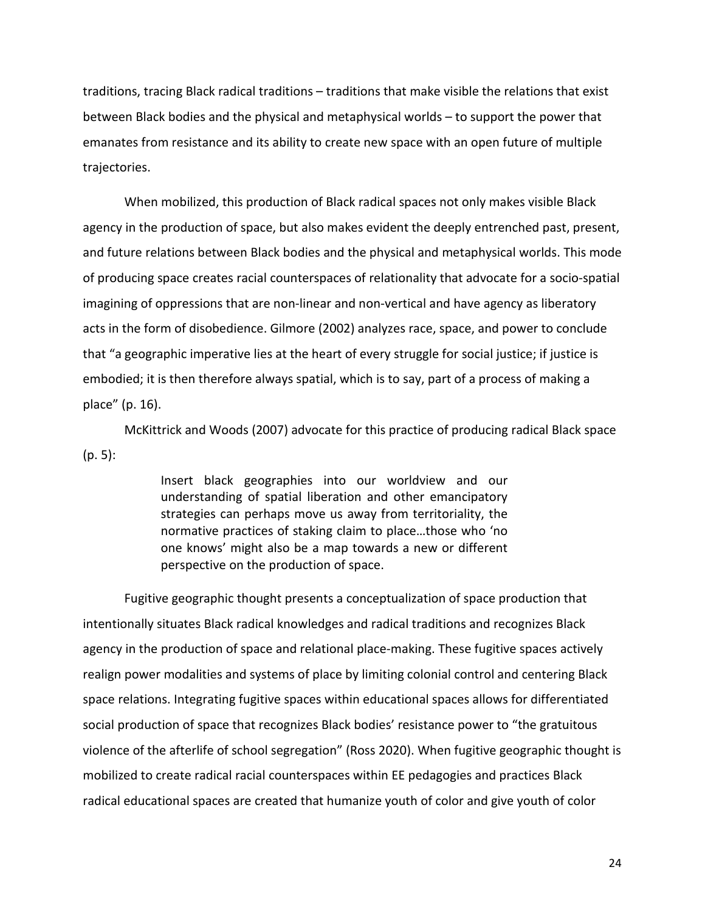traditions, tracing Black radical traditions – traditions that make visible the relations that exist between Black bodies and the physical and metaphysical worlds – to support the power that emanates from resistance and its ability to create new space with an open future of multiple trajectories.

When mobilized, this production of Black radical spaces not only makes visible Black agency in the production of space, but also makes evident the deeply entrenched past, present, and future relations between Black bodies and the physical and metaphysical worlds. This mode of producing space creates racial counterspaces of relationality that advocate for a socio-spatial imagining of oppressions that are non-linear and non-vertical and have agency as liberatory acts in the form of disobedience. Gilmore (2002) analyzes race, space, and power to conclude that "a geographic imperative lies at the heart of every struggle for social justice; if justice is embodied; it is then therefore always spatial, which is to say, part of a process of making a place" (p. 16).

McKittrick and Woods (2007) advocate for this practice of producing radical Black space (p. 5):

> Insert black geographies into our worldview and our understanding of spatial liberation and other emancipatory strategies can perhaps move us away from territoriality, the normative practices of staking claim to place…those who 'no one knows' might also be a map towards a new or different perspective on the production of space.

Fugitive geographic thought presents a conceptualization of space production that intentionally situates Black radical knowledges and radical traditions and recognizes Black agency in the production of space and relational place-making. These fugitive spaces actively realign power modalities and systems of place by limiting colonial control and centering Black space relations. Integrating fugitive spaces within educational spaces allows for differentiated social production of space that recognizes Black bodies' resistance power to "the gratuitous violence of the afterlife of school segregation" (Ross 2020). When fugitive geographic thought is mobilized to create radical racial counterspaces within EE pedagogies and practices Black radical educational spaces are created that humanize youth of color and give youth of color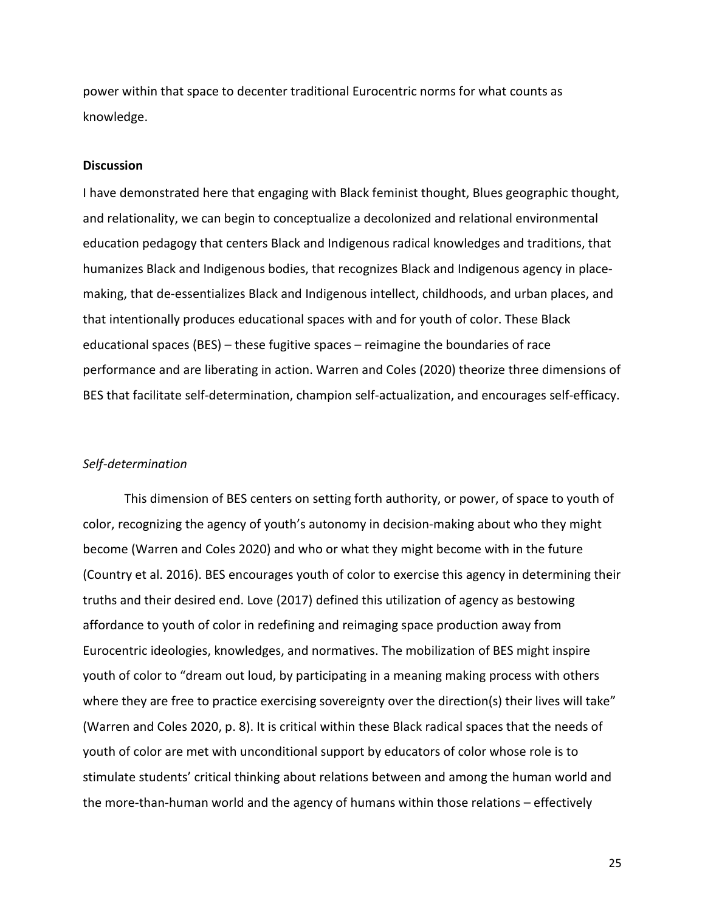power within that space to decenter traditional Eurocentric norms for what counts as knowledge.

#### **Discussion**

I have demonstrated here that engaging with Black feminist thought, Blues geographic thought, and relationality, we can begin to conceptualize a decolonized and relational environmental education pedagogy that centers Black and Indigenous radical knowledges and traditions, that humanizes Black and Indigenous bodies, that recognizes Black and Indigenous agency in placemaking, that de-essentializes Black and Indigenous intellect, childhoods, and urban places, and that intentionally produces educational spaces with and for youth of color. These Black educational spaces (BES) – these fugitive spaces – reimagine the boundaries of race performance and are liberating in action. Warren and Coles (2020) theorize three dimensions of BES that facilitate self-determination, champion self-actualization, and encourages self-efficacy.

#### *Self-determination*

This dimension of BES centers on setting forth authority, or power, of space to youth of color, recognizing the agency of youth's autonomy in decision-making about who they might become (Warren and Coles 2020) and who or what they might become with in the future (Country et al. 2016). BES encourages youth of color to exercise this agency in determining their truths and their desired end. Love (2017) defined this utilization of agency as bestowing affordance to youth of color in redefining and reimaging space production away from Eurocentric ideologies, knowledges, and normatives. The mobilization of BES might inspire youth of color to "dream out loud, by participating in a meaning making process with others where they are free to practice exercising sovereignty over the direction(s) their lives will take" (Warren and Coles 2020, p. 8). It is critical within these Black radical spaces that the needs of youth of color are met with unconditional support by educators of color whose role is to stimulate students' critical thinking about relations between and among the human world and the more-than-human world and the agency of humans within those relations – effectively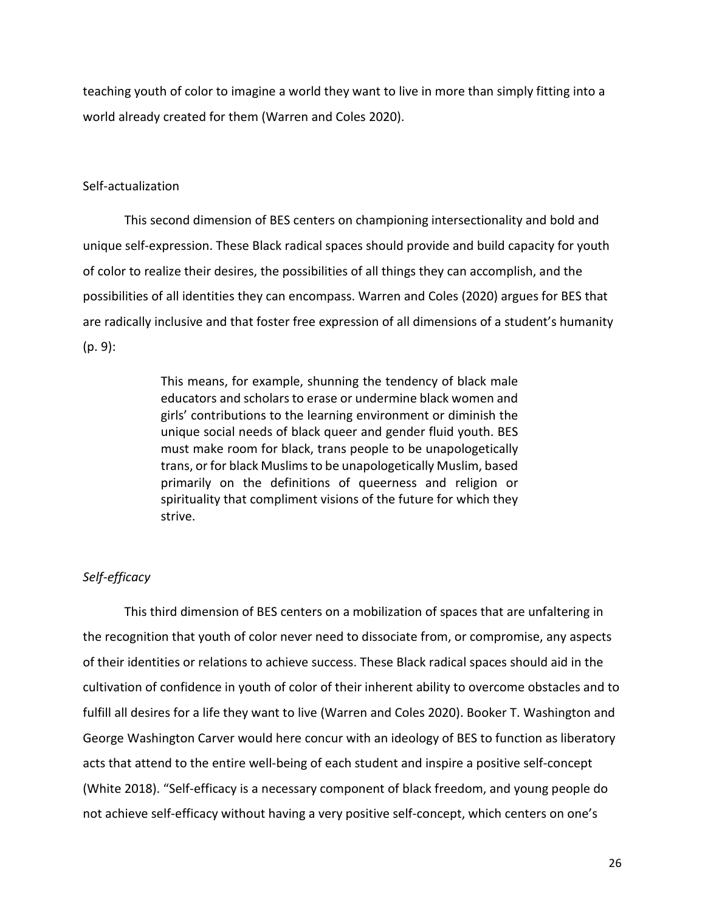teaching youth of color to imagine a world they want to live in more than simply fitting into a world already created for them (Warren and Coles 2020).

## Self-actualization

This second dimension of BES centers on championing intersectionality and bold and unique self-expression. These Black radical spaces should provide and build capacity for youth of color to realize their desires, the possibilities of all things they can accomplish, and the possibilities of all identities they can encompass. Warren and Coles (2020) argues for BES that are radically inclusive and that foster free expression of all dimensions of a student's humanity (p. 9):

> This means, for example, shunning the tendency of black male educators and scholars to erase or undermine black women and girls' contributions to the learning environment or diminish the unique social needs of black queer and gender fluid youth. BES must make room for black, trans people to be unapologetically trans, or for black Muslims to be unapologetically Muslim, based primarily on the definitions of queerness and religion or spirituality that compliment visions of the future for which they strive.

# *Self-efficacy*

This third dimension of BES centers on a mobilization of spaces that are unfaltering in the recognition that youth of color never need to dissociate from, or compromise, any aspects of their identities or relations to achieve success. These Black radical spaces should aid in the cultivation of confidence in youth of color of their inherent ability to overcome obstacles and to fulfill all desires for a life they want to live (Warren and Coles 2020). Booker T. Washington and George Washington Carver would here concur with an ideology of BES to function as liberatory acts that attend to the entire well-being of each student and inspire a positive self-concept (White 2018). "Self-efficacy is a necessary component of black freedom, and young people do not achieve self-efficacy without having a very positive self-concept, which centers on one's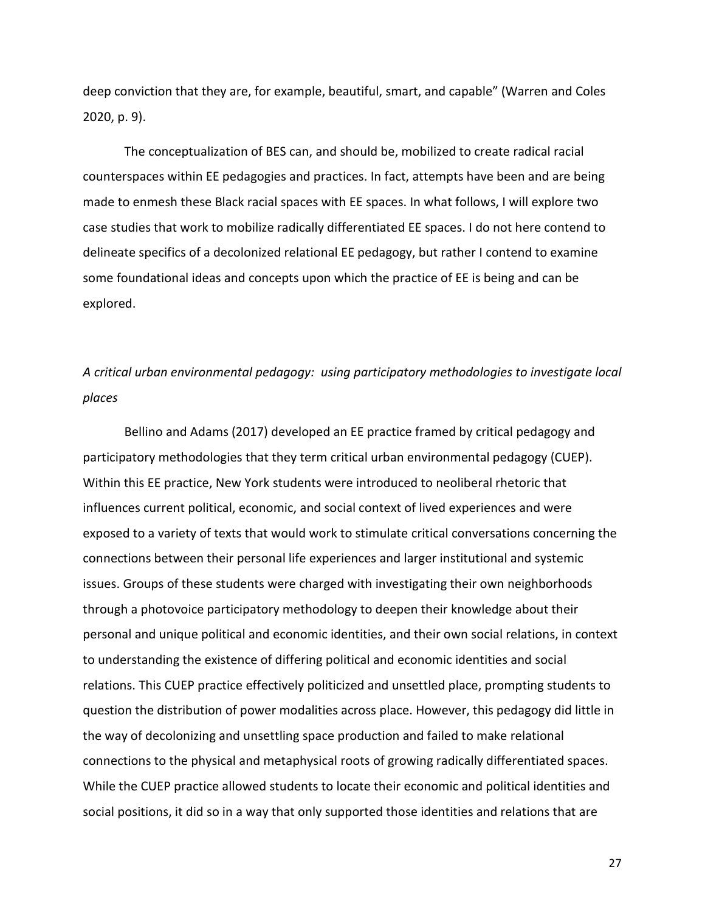deep conviction that they are, for example, beautiful, smart, and capable" (Warren and Coles 2020, p. 9).

The conceptualization of BES can, and should be, mobilized to create radical racial counterspaces within EE pedagogies and practices. In fact, attempts have been and are being made to enmesh these Black racial spaces with EE spaces. In what follows, I will explore two case studies that work to mobilize radically differentiated EE spaces. I do not here contend to delineate specifics of a decolonized relational EE pedagogy, but rather I contend to examine some foundational ideas and concepts upon which the practice of EE is being and can be explored.

# *A critical urban environmental pedagogy: using participatory methodologies to investigate local places*

Bellino and Adams (2017) developed an EE practice framed by critical pedagogy and participatory methodologies that they term critical urban environmental pedagogy (CUEP). Within this EE practice, New York students were introduced to neoliberal rhetoric that influences current political, economic, and social context of lived experiences and were exposed to a variety of texts that would work to stimulate critical conversations concerning the connections between their personal life experiences and larger institutional and systemic issues. Groups of these students were charged with investigating their own neighborhoods through a photovoice participatory methodology to deepen their knowledge about their personal and unique political and economic identities, and their own social relations, in context to understanding the existence of differing political and economic identities and social relations. This CUEP practice effectively politicized and unsettled place, prompting students to question the distribution of power modalities across place. However, this pedagogy did little in the way of decolonizing and unsettling space production and failed to make relational connections to the physical and metaphysical roots of growing radically differentiated spaces. While the CUEP practice allowed students to locate their economic and political identities and social positions, it did so in a way that only supported those identities and relations that are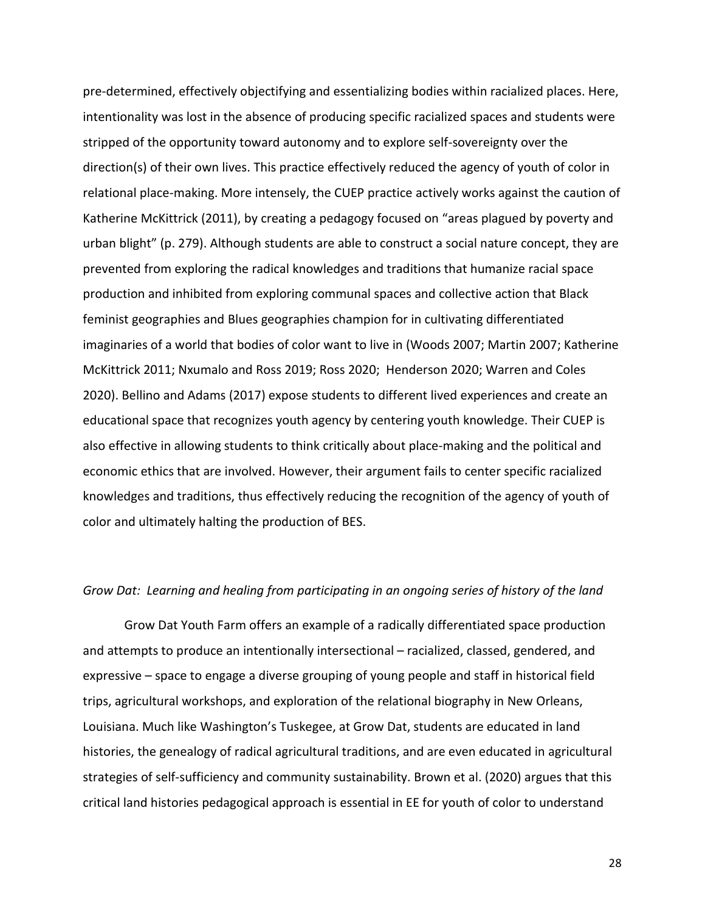pre-determined, effectively objectifying and essentializing bodies within racialized places. Here, intentionality was lost in the absence of producing specific racialized spaces and students were stripped of the opportunity toward autonomy and to explore self-sovereignty over the direction(s) of their own lives. This practice effectively reduced the agency of youth of color in relational place-making. More intensely, the CUEP practice actively works against the caution of Katherine McKittrick (2011), by creating a pedagogy focused on "areas plagued by poverty and urban blight" (p. 279). Although students are able to construct a social nature concept, they are prevented from exploring the radical knowledges and traditions that humanize racial space production and inhibited from exploring communal spaces and collective action that Black feminist geographies and Blues geographies champion for in cultivating differentiated imaginaries of a world that bodies of color want to live in (Woods 2007; Martin 2007; Katherine McKittrick 2011; Nxumalo and Ross 2019; Ross 2020; Henderson 2020; Warren and Coles 2020). Bellino and Adams (2017) expose students to different lived experiences and create an educational space that recognizes youth agency by centering youth knowledge. Their CUEP is also effective in allowing students to think critically about place-making and the political and economic ethics that are involved. However, their argument fails to center specific racialized knowledges and traditions, thus effectively reducing the recognition of the agency of youth of color and ultimately halting the production of BES.

# *Grow Dat: Learning and healing from participating in an ongoing series of history of the land*

Grow Dat Youth Farm offers an example of a radically differentiated space production and attempts to produce an intentionally intersectional – racialized, classed, gendered, and expressive – space to engage a diverse grouping of young people and staff in historical field trips, agricultural workshops, and exploration of the relational biography in New Orleans, Louisiana. Much like Washington's Tuskegee, at Grow Dat, students are educated in land histories, the genealogy of radical agricultural traditions, and are even educated in agricultural strategies of self-sufficiency and community sustainability. Brown et al. (2020) argues that this critical land histories pedagogical approach is essential in EE for youth of color to understand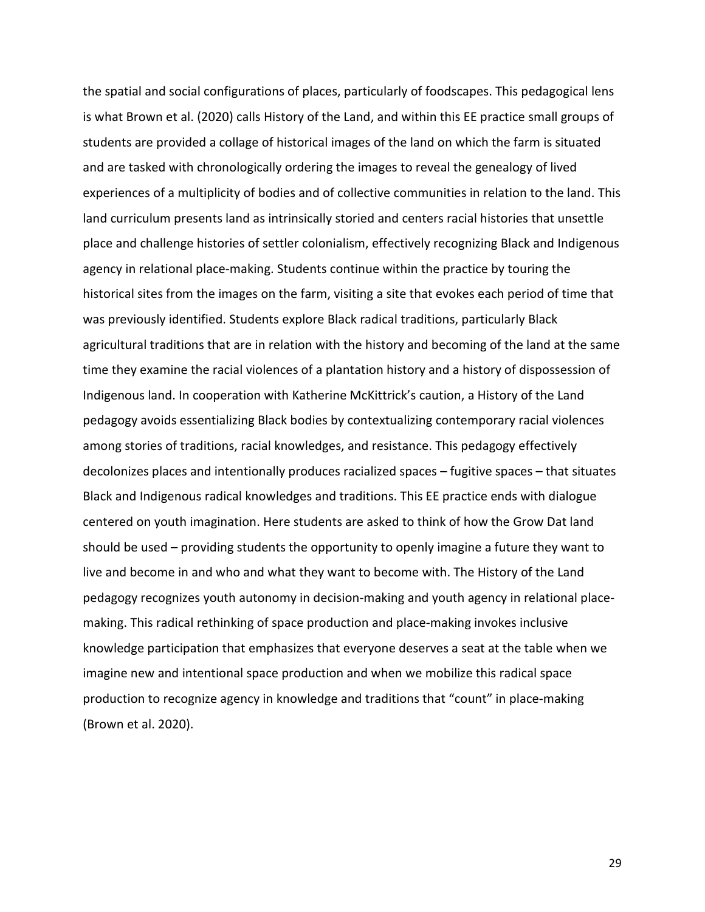the spatial and social configurations of places, particularly of foodscapes. This pedagogical lens is what Brown et al. (2020) calls History of the Land, and within this EE practice small groups of students are provided a collage of historical images of the land on which the farm is situated and are tasked with chronologically ordering the images to reveal the genealogy of lived experiences of a multiplicity of bodies and of collective communities in relation to the land. This land curriculum presents land as intrinsically storied and centers racial histories that unsettle place and challenge histories of settler colonialism, effectively recognizing Black and Indigenous agency in relational place-making. Students continue within the practice by touring the historical sites from the images on the farm, visiting a site that evokes each period of time that was previously identified. Students explore Black radical traditions, particularly Black agricultural traditions that are in relation with the history and becoming of the land at the same time they examine the racial violences of a plantation history and a history of dispossession of Indigenous land. In cooperation with Katherine McKittrick's caution, a History of the Land pedagogy avoids essentializing Black bodies by contextualizing contemporary racial violences among stories of traditions, racial knowledges, and resistance. This pedagogy effectively decolonizes places and intentionally produces racialized spaces – fugitive spaces – that situates Black and Indigenous radical knowledges and traditions. This EE practice ends with dialogue centered on youth imagination. Here students are asked to think of how the Grow Dat land should be used – providing students the opportunity to openly imagine a future they want to live and become in and who and what they want to become with. The History of the Land pedagogy recognizes youth autonomy in decision-making and youth agency in relational placemaking. This radical rethinking of space production and place-making invokes inclusive knowledge participation that emphasizes that everyone deserves a seat at the table when we imagine new and intentional space production and when we mobilize this radical space production to recognize agency in knowledge and traditions that "count" in place-making (Brown et al. 2020).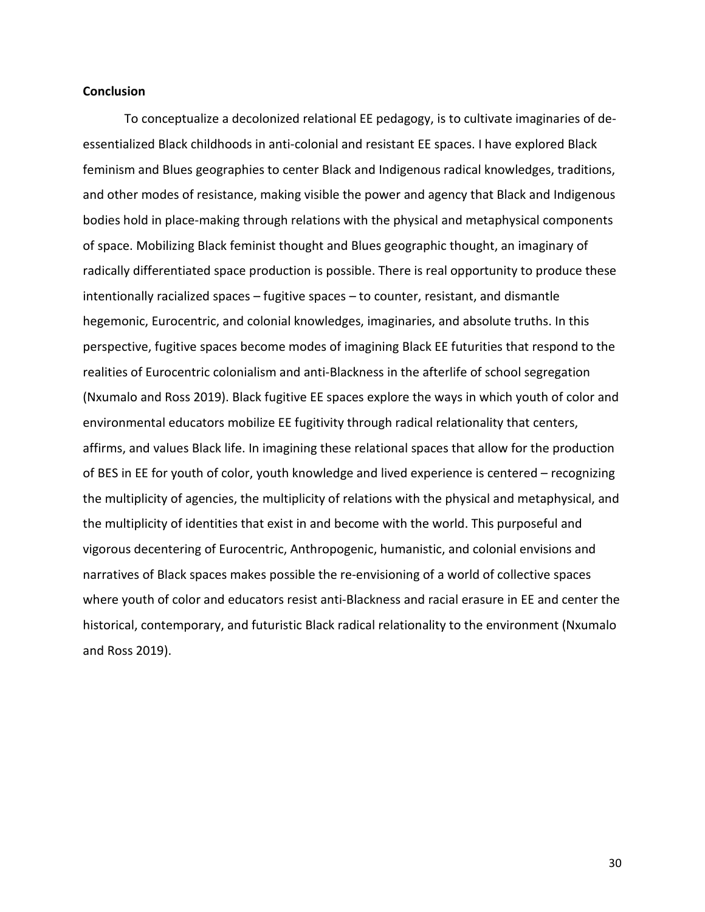#### **Conclusion**

To conceptualize a decolonized relational EE pedagogy, is to cultivate imaginaries of deessentialized Black childhoods in anti-colonial and resistant EE spaces. I have explored Black feminism and Blues geographies to center Black and Indigenous radical knowledges, traditions, and other modes of resistance, making visible the power and agency that Black and Indigenous bodies hold in place-making through relations with the physical and metaphysical components of space. Mobilizing Black feminist thought and Blues geographic thought, an imaginary of radically differentiated space production is possible. There is real opportunity to produce these intentionally racialized spaces – fugitive spaces – to counter, resistant, and dismantle hegemonic, Eurocentric, and colonial knowledges, imaginaries, and absolute truths. In this perspective, fugitive spaces become modes of imagining Black EE futurities that respond to the realities of Eurocentric colonialism and anti-Blackness in the afterlife of school segregation (Nxumalo and Ross 2019). Black fugitive EE spaces explore the ways in which youth of color and environmental educators mobilize EE fugitivity through radical relationality that centers, affirms, and values Black life. In imagining these relational spaces that allow for the production of BES in EE for youth of color, youth knowledge and lived experience is centered – recognizing the multiplicity of agencies, the multiplicity of relations with the physical and metaphysical, and the multiplicity of identities that exist in and become with the world. This purposeful and vigorous decentering of Eurocentric, Anthropogenic, humanistic, and colonial envisions and narratives of Black spaces makes possible the re-envisioning of a world of collective spaces where youth of color and educators resist anti-Blackness and racial erasure in EE and center the historical, contemporary, and futuristic Black radical relationality to the environment (Nxumalo and Ross 2019).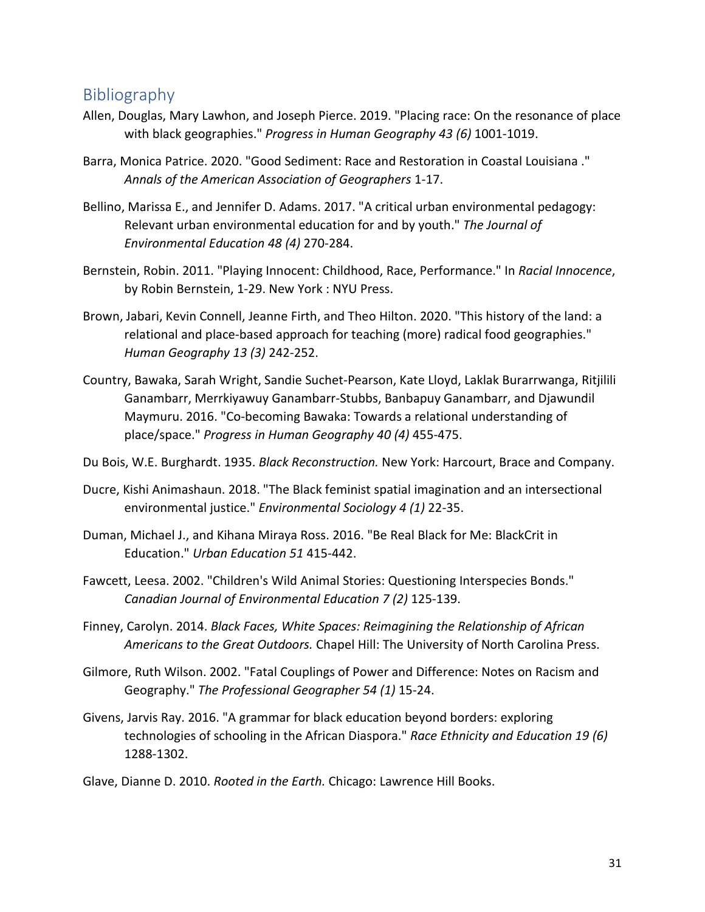# Bibliography

- Allen, Douglas, Mary Lawhon, and Joseph Pierce. 2019. "Placing race: On the resonance of place with black geographies." *Progress in Human Geography 43 (6)* 1001-1019.
- Barra, Monica Patrice. 2020. "Good Sediment: Race and Restoration in Coastal Louisiana ." *Annals of the American Association of Geographers* 1-17.
- Bellino, Marissa E., and Jennifer D. Adams. 2017. "A critical urban environmental pedagogy: Relevant urban environmental education for and by youth." *The Journal of Environmental Education 48 (4)* 270-284.
- Bernstein, Robin. 2011. "Playing Innocent: Childhood, Race, Performance." In *Racial Innocence*, by Robin Bernstein, 1-29. New York : NYU Press.
- Brown, Jabari, Kevin Connell, Jeanne Firth, and Theo Hilton. 2020. "This history of the land: a relational and place-based approach for teaching (more) radical food geographies." *Human Geography 13 (3)* 242-252.
- Country, Bawaka, Sarah Wright, Sandie Suchet-Pearson, Kate Lloyd, Laklak Burarrwanga, Ritjilili Ganambarr, Merrkiyawuy Ganambarr-Stubbs, Banbapuy Ganambarr, and Djawundil Maymuru. 2016. "Co-becoming Bawaka: Towards a relational understanding of place/space." *Progress in Human Geography 40 (4)* 455-475.
- Du Bois, W.E. Burghardt. 1935. *Black Reconstruction.* New York: Harcourt, Brace and Company.
- Ducre, Kishi Animashaun. 2018. "The Black feminist spatial imagination and an intersectional environmental justice." *Environmental Sociology 4 (1)* 22-35.
- Duman, Michael J., and Kihana Miraya Ross. 2016. "Be Real Black for Me: BlackCrit in Education." *Urban Education 51* 415-442.
- Fawcett, Leesa. 2002. "Children's Wild Animal Stories: Questioning Interspecies Bonds." *Canadian Journal of Environmental Education 7 (2)* 125-139.
- Finney, Carolyn. 2014. *Black Faces, White Spaces: Reimagining the Relationship of African Americans to the Great Outdoors.* Chapel Hill: The University of North Carolina Press.
- Gilmore, Ruth Wilson. 2002. "Fatal Couplings of Power and Difference: Notes on Racism and Geography." *The Professional Geographer 54 (1)* 15-24.
- Givens, Jarvis Ray. 2016. "A grammar for black education beyond borders: exploring technologies of schooling in the African Diaspora." *Race Ethnicity and Education 19 (6)* 1288-1302.
- Glave, Dianne D. 2010. *Rooted in the Earth.* Chicago: Lawrence Hill Books.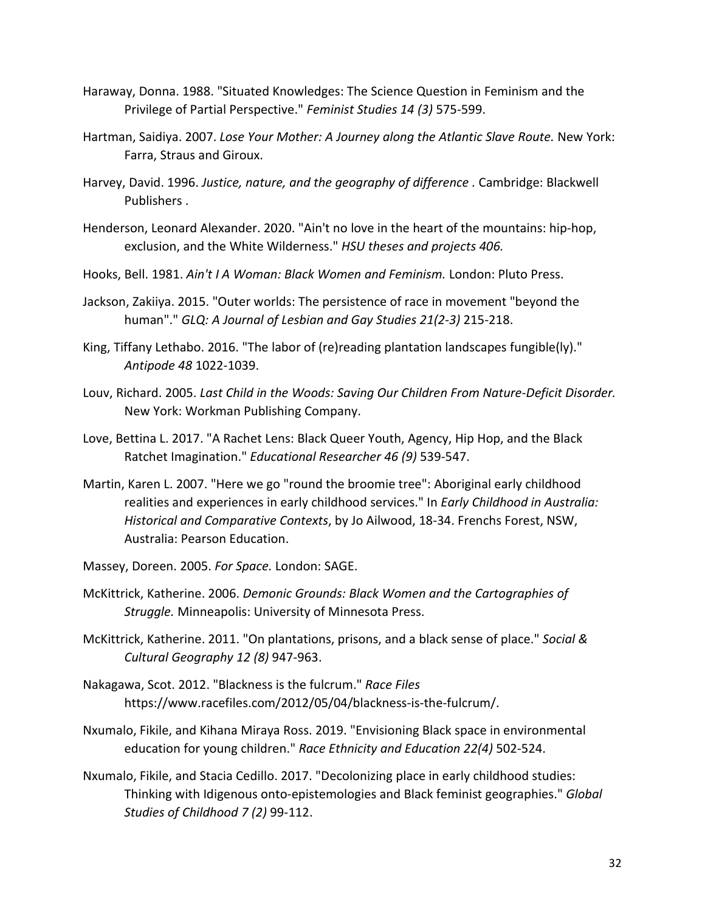- Haraway, Donna. 1988. "Situated Knowledges: The Science Question in Feminism and the Privilege of Partial Perspective." *Feminist Studies 14 (3)* 575-599.
- Hartman, Saidiya. 2007. *Lose Your Mother: A Journey along the Atlantic Slave Route.* New York: Farra, Straus and Giroux.
- Harvey, David. 1996. *Justice, nature, and the geography of difference .* Cambridge: Blackwell Publishers .
- Henderson, Leonard Alexander. 2020. "Ain't no love in the heart of the mountains: hip-hop, exclusion, and the White Wilderness." *HSU theses and projects 406.*
- Hooks, Bell. 1981. *Ain't I A Woman: Black Women and Feminism.* London: Pluto Press.
- Jackson, Zakiiya. 2015. "Outer worlds: The persistence of race in movement "beyond the human"." *GLQ: A Journal of Lesbian and Gay Studies 21(2-3)* 215-218.
- King, Tiffany Lethabo. 2016. "The labor of (re)reading plantation landscapes fungible(ly)." *Antipode 48* 1022-1039.
- Louv, Richard. 2005. *Last Child in the Woods: Saving Our Children From Nature-Deficit Disorder.* New York: Workman Publishing Company.
- Love, Bettina L. 2017. "A Rachet Lens: Black Queer Youth, Agency, Hip Hop, and the Black Ratchet Imagination." *Educational Researcher 46 (9)* 539-547.
- Martin, Karen L. 2007. "Here we go "round the broomie tree": Aboriginal early childhood realities and experiences in early childhood services." In *Early Childhood in Australia: Historical and Comparative Contexts*, by Jo Ailwood, 18-34. Frenchs Forest, NSW, Australia: Pearson Education.
- Massey, Doreen. 2005. *For Space.* London: SAGE.
- McKittrick, Katherine. 2006. *Demonic Grounds: Black Women and the Cartographies of Struggle.* Minneapolis: University of Minnesota Press.
- McKittrick, Katherine. 2011. "On plantations, prisons, and a black sense of place." *Social & Cultural Geography 12 (8)* 947-963.
- Nakagawa, Scot. 2012. "Blackness is the fulcrum." *Race Files* https://www.racefiles.com/2012/05/04/blackness-is-the-fulcrum/.
- Nxumalo, Fikile, and Kihana Miraya Ross. 2019. "Envisioning Black space in environmental education for young children." *Race Ethnicity and Education 22(4)* 502-524.
- Nxumalo, Fikile, and Stacia Cedillo. 2017. "Decolonizing place in early childhood studies: Thinking with Idigenous onto-epistemologies and Black feminist geographies." *Global Studies of Childhood 7 (2)* 99-112.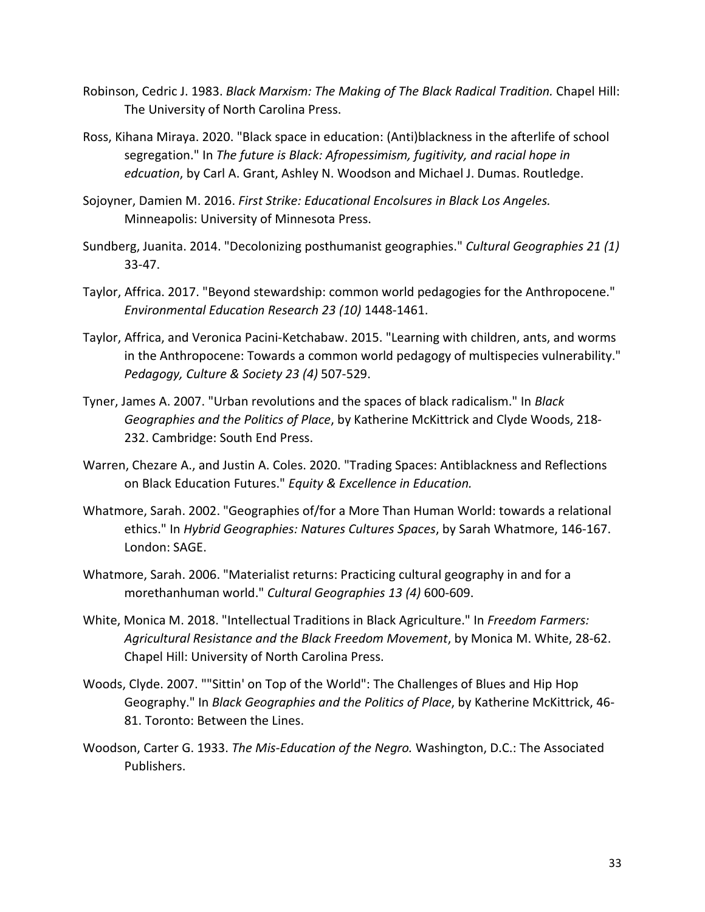- Robinson, Cedric J. 1983. *Black Marxism: The Making of The Black Radical Tradition.* Chapel Hill: The University of North Carolina Press.
- Ross, Kihana Miraya. 2020. "Black space in education: (Anti)blackness in the afterlife of school segregation." In *The future is Black: Afropessimism, fugitivity, and racial hope in edcuation*, by Carl A. Grant, Ashley N. Woodson and Michael J. Dumas. Routledge.
- Sojoyner, Damien M. 2016. *First Strike: Educational Encolsures in Black Los Angeles.* Minneapolis: University of Minnesota Press.
- Sundberg, Juanita. 2014. "Decolonizing posthumanist geographies." *Cultural Geographies 21 (1)* 33-47.
- Taylor, Affrica. 2017. "Beyond stewardship: common world pedagogies for the Anthropocene." *Environmental Education Research 23 (10)* 1448-1461.
- Taylor, Affrica, and Veronica Pacini-Ketchabaw. 2015. "Learning with children, ants, and worms in the Anthropocene: Towards a common world pedagogy of multispecies vulnerability." *Pedagogy, Culture & Society 23 (4)* 507-529.
- Tyner, James A. 2007. "Urban revolutions and the spaces of black radicalism." In *Black Geographies and the Politics of Place*, by Katherine McKittrick and Clyde Woods, 218- 232. Cambridge: South End Press.
- Warren, Chezare A., and Justin A. Coles. 2020. "Trading Spaces: Antiblackness and Reflections on Black Education Futures." *Equity & Excellence in Education.*
- Whatmore, Sarah. 2002. "Geographies of/for a More Than Human World: towards a relational ethics." In *Hybrid Geographies: Natures Cultures Spaces*, by Sarah Whatmore, 146-167. London: SAGE.
- Whatmore, Sarah. 2006. "Materialist returns: Practicing cultural geography in and for a morethanhuman world." *Cultural Geographies 13 (4)* 600-609.
- White, Monica M. 2018. "Intellectual Traditions in Black Agriculture." In *Freedom Farmers: Agricultural Resistance and the Black Freedom Movement*, by Monica M. White, 28-62. Chapel Hill: University of North Carolina Press.
- Woods, Clyde. 2007. ""Sittin' on Top of the World": The Challenges of Blues and Hip Hop Geography." In *Black Geographies and the Politics of Place*, by Katherine McKittrick, 46- 81. Toronto: Between the Lines.
- Woodson, Carter G. 1933. *The Mis-Education of the Negro.* Washington, D.C.: The Associated Publishers.